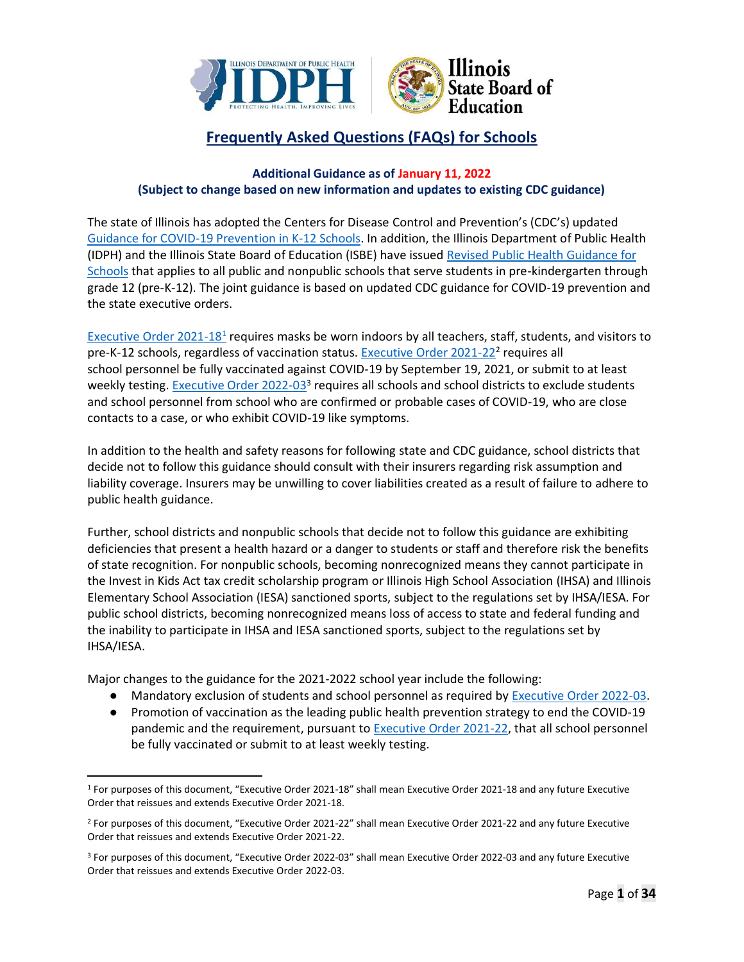

# **Frequently Asked Questions (FAQs) for Schools**

# **Additional Guidance as of January 11, 2022 (Subject to change based on new information and updates to existing CDC guidance)**

The state of Illinois has adopted the Centers for Disease Control and Prevention's (CDC's) updated Guidance for COVID-19 Prevention in K-12 Schools. In addition, the Illinois Department of Public Health (IDPH) and the Illinois State Board of Education (ISBE) have issued Revised Public Health Guidance for Schools that applies to all public and nonpublic schools that serve students in pre-kindergarten through grade 12 (pre-K-12). The joint guidance is based on updated CDC guidance for COVID-19 prevention and the state executive orders.

Executive Order 2021-18<sup>1</sup> requires masks be worn indoors by all teachers, staff, students, and visitors to pre-K-12 schools, regardless of vaccination status. Executive Order 2021-22<sup>2</sup> requires all school personnel be fully vaccinated against COVID-19 by September 19, 2021, or submit to at least weekly testing. Executive Order 2022-03<sup>3</sup> requires all schools and school districts to exclude students and school personnel from school who are confirmed or probable cases of COVID-19, who are close contacts to a case, or who exhibit COVID-19 like symptoms.

In addition to the health and safety reasons for following state and CDC guidance, school districts that decide not to follow this guidance should consult with their insurers regarding risk assumption and liability coverage. Insurers may be unwilling to cover liabilities created as a result of failure to adhere to public health guidance.

Further, school districts and nonpublic schools that decide not to follow this guidance are exhibiting deficiencies that present a health hazard or a danger to students or staff and therefore risk the benefits of state recognition. For nonpublic schools, becoming nonrecognized means they cannot participate in the Invest in Kids Act tax credit scholarship program or Illinois High School Association (IHSA) and Illinois Elementary School Association (IESA) sanctioned sports, subject to the regulations set by IHSA/IESA. For public school districts, becoming nonrecognized means loss of access to state and federal funding and the inability to participate in IHSA and IESA sanctioned sports, subject to the regulations set by IHSA/IESA.

Major changes to the guidance for the 2021-2022 school year include the following:

- Mandatory exclusion of students and school personnel as required by Executive Order 2022-03.
- Promotion of vaccination as the leading public health prevention strategy to end the COVID-19 pandemic and the requirement, pursuant to Executive Order 2021-22, that all school personnel be fully vaccinated or submit to at least weekly testing.

<sup>1</sup> For purposes of this document, "Executive Order 2021-18" shall mean Executive Order 2021-18 and any future Executive Order that reissues and extends Executive Order 2021-18.

<sup>2</sup> For purposes of this document, "Executive Order 2021-22" shall mean Executive Order 2021-22 and any future Executive Order that reissues and extends Executive Order 2021-22.

<sup>3</sup> For purposes of this document, "Executive Order 2022-03" shall mean Executive Order 2022-03 and any future Executive Order that reissues and extends Executive Order 2022-03.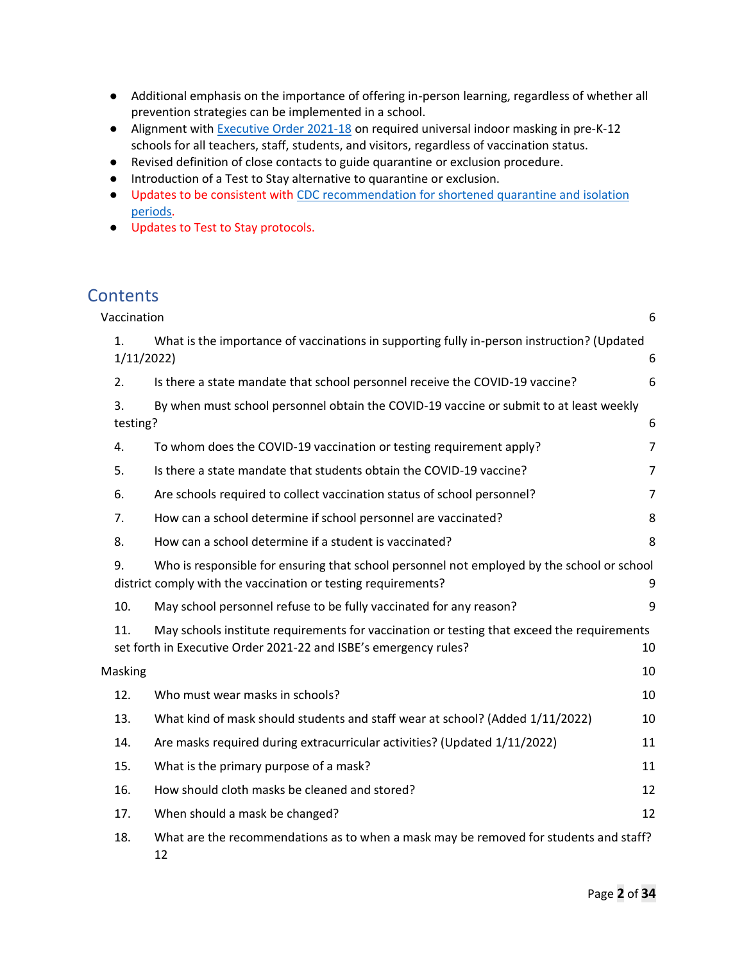- Additional emphasis on the importance of offering in-person learning, regardless of whether all prevention strategies can be implemented in a school.
- Alignment with Executive Order 2021-18 on required universal indoor masking in pre-K-12 schools for all teachers, staff, students, and visitors, regardless of vaccination status.
- Revised definition of close contacts to guide quarantine or exclusion procedure.
- Introduction of a Test to Stay alternative to quarantine or exclusion.
- Updates to be consistent with CDC recommendation for shortened quarantine and isolation periods.
- Updates to Test to Stay protocols.

# **Contents**

| Vaccination    |                                                                                                                                                                | 6              |
|----------------|----------------------------------------------------------------------------------------------------------------------------------------------------------------|----------------|
| 1.             | What is the importance of vaccinations in supporting fully in-person instruction? (Updated<br>1/11/2022                                                        | 6              |
| 2.             | Is there a state mandate that school personnel receive the COVID-19 vaccine?                                                                                   | 6              |
| 3.<br>testing? | By when must school personnel obtain the COVID-19 vaccine or submit to at least weekly                                                                         | 6              |
| 4.             | To whom does the COVID-19 vaccination or testing requirement apply?                                                                                            | 7              |
| 5.             | Is there a state mandate that students obtain the COVID-19 vaccine?                                                                                            | $\overline{7}$ |
| 6.             | Are schools required to collect vaccination status of school personnel?                                                                                        | 7              |
| 7.             | How can a school determine if school personnel are vaccinated?                                                                                                 | 8              |
| 8.             | How can a school determine if a student is vaccinated?                                                                                                         | 8              |
| 9.             | Who is responsible for ensuring that school personnel not employed by the school or school<br>district comply with the vaccination or testing requirements?    | 9              |
| 10.            | May school personnel refuse to be fully vaccinated for any reason?                                                                                             | 9              |
| 11.            | May schools institute requirements for vaccination or testing that exceed the requirements<br>set forth in Executive Order 2021-22 and ISBE's emergency rules? | 10             |
| Masking        |                                                                                                                                                                | 10             |
| 12.            | Who must wear masks in schools?                                                                                                                                | 10             |
| 13.            | What kind of mask should students and staff wear at school? (Added 1/11/2022)                                                                                  | 10             |
| 14.            | Are masks required during extracurricular activities? (Updated 1/11/2022)                                                                                      | 11             |
| 15.            | What is the primary purpose of a mask?                                                                                                                         | 11             |
| 16.            | How should cloth masks be cleaned and stored?                                                                                                                  | 12             |
| 17.            | When should a mask be changed?                                                                                                                                 | 12             |
| 18.            | What are the recommendations as to when a mask may be removed for students and staff?<br>12                                                                    |                |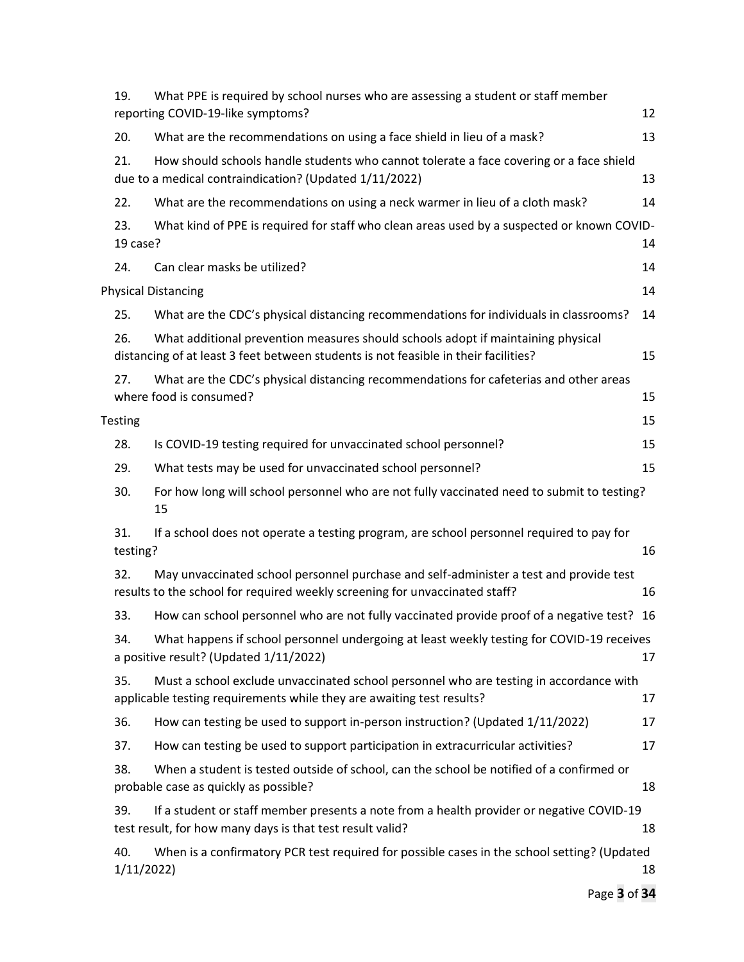| 19.              | What PPE is required by school nurses who are assessing a student or staff member<br>reporting COVID-19-like symptoms?                                                  | 12 |
|------------------|-------------------------------------------------------------------------------------------------------------------------------------------------------------------------|----|
| 20.              | What are the recommendations on using a face shield in lieu of a mask?                                                                                                  | 13 |
| 21.              | How should schools handle students who cannot tolerate a face covering or a face shield<br>due to a medical contraindication? (Updated 1/11/2022)                       | 13 |
| 22.              | What are the recommendations on using a neck warmer in lieu of a cloth mask?                                                                                            | 14 |
| 23.<br>19 case?  | What kind of PPE is required for staff who clean areas used by a suspected or known COVID-                                                                              | 14 |
| 24.              | Can clear masks be utilized?                                                                                                                                            | 14 |
|                  | <b>Physical Distancing</b>                                                                                                                                              | 14 |
| 25.              | What are the CDC's physical distancing recommendations for individuals in classrooms?                                                                                   | 14 |
| 26.              | What additional prevention measures should schools adopt if maintaining physical<br>distancing of at least 3 feet between students is not feasible in their facilities? | 15 |
| 27.              | What are the CDC's physical distancing recommendations for cafeterias and other areas<br>where food is consumed?                                                        | 15 |
| <b>Testing</b>   |                                                                                                                                                                         | 15 |
| 28.              | Is COVID-19 testing required for unvaccinated school personnel?                                                                                                         | 15 |
| 29.              | What tests may be used for unvaccinated school personnel?                                                                                                               | 15 |
| 30.              | For how long will school personnel who are not fully vaccinated need to submit to testing?<br>15                                                                        |    |
| 31.<br>testing?  | If a school does not operate a testing program, are school personnel required to pay for                                                                                | 16 |
| 32.              | May unvaccinated school personnel purchase and self-administer a test and provide test<br>results to the school for required weekly screening for unvaccinated staff?   | 16 |
| 33.              | How can school personnel who are not fully vaccinated provide proof of a negative test? 16                                                                              |    |
| 34.              | What happens if school personnel undergoing at least weekly testing for COVID-19 receives<br>a positive result? (Updated 1/11/2022)                                     | 17 |
| 35.              | Must a school exclude unvaccinated school personnel who are testing in accordance with<br>applicable testing requirements while they are awaiting test results?         | 17 |
| 36.              | How can testing be used to support in-person instruction? (Updated 1/11/2022)                                                                                           | 17 |
| 37.              | How can testing be used to support participation in extracurricular activities?                                                                                         | 17 |
| 38.              | When a student is tested outside of school, can the school be notified of a confirmed or<br>probable case as quickly as possible?                                       | 18 |
| 39.              | If a student or staff member presents a note from a health provider or negative COVID-19<br>test result, for how many days is that test result valid?                   | 18 |
| 40.<br>1/11/2022 | When is a confirmatory PCR test required for possible cases in the school setting? (Updated                                                                             | 18 |
|                  |                                                                                                                                                                         |    |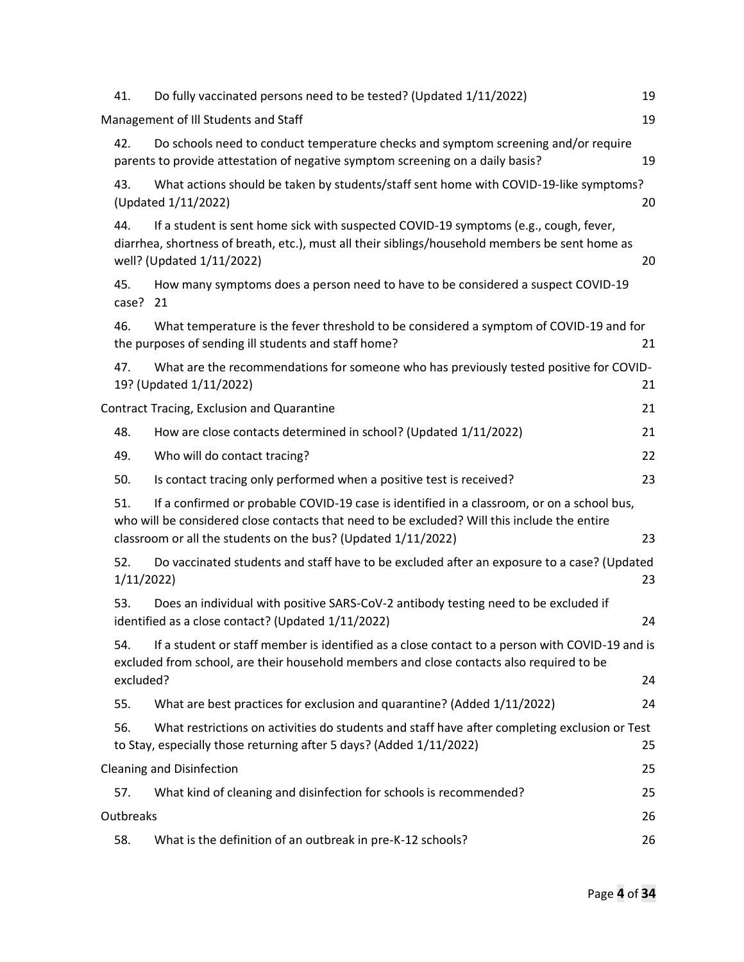| 41.              | Do fully vaccinated persons need to be tested? (Updated 1/11/2022)                                                                                                                                                                                          | 19 |
|------------------|-------------------------------------------------------------------------------------------------------------------------------------------------------------------------------------------------------------------------------------------------------------|----|
|                  | Management of Ill Students and Staff                                                                                                                                                                                                                        | 19 |
| 42.              | Do schools need to conduct temperature checks and symptom screening and/or require<br>parents to provide attestation of negative symptom screening on a daily basis?                                                                                        | 19 |
| 43.              | What actions should be taken by students/staff sent home with COVID-19-like symptoms?<br>(Updated 1/11/2022)                                                                                                                                                | 20 |
| 44.              | If a student is sent home sick with suspected COVID-19 symptoms (e.g., cough, fever,<br>diarrhea, shortness of breath, etc.), must all their siblings/household members be sent home as<br>well? (Updated 1/11/2022)                                        | 20 |
| 45.<br>case? 21  | How many symptoms does a person need to have to be considered a suspect COVID-19                                                                                                                                                                            |    |
| 46.              | What temperature is the fever threshold to be considered a symptom of COVID-19 and for<br>the purposes of sending ill students and staff home?                                                                                                              | 21 |
| 47.              | What are the recommendations for someone who has previously tested positive for COVID-<br>19? (Updated 1/11/2022)                                                                                                                                           | 21 |
|                  | Contract Tracing, Exclusion and Quarantine                                                                                                                                                                                                                  | 21 |
| 48.              | How are close contacts determined in school? (Updated 1/11/2022)                                                                                                                                                                                            | 21 |
| 49.              | Who will do contact tracing?                                                                                                                                                                                                                                | 22 |
| 50.              | Is contact tracing only performed when a positive test is received?                                                                                                                                                                                         | 23 |
| 51.              | If a confirmed or probable COVID-19 case is identified in a classroom, or on a school bus,<br>who will be considered close contacts that need to be excluded? Will this include the entire<br>classroom or all the students on the bus? (Updated 1/11/2022) | 23 |
| 52.<br>1/11/2022 | Do vaccinated students and staff have to be excluded after an exposure to a case? (Updated                                                                                                                                                                  | 23 |
| 53.              | Does an individual with positive SARS-CoV-2 antibody testing need to be excluded if<br>identified as a close contact? (Updated 1/11/2022)                                                                                                                   | 24 |
| 54.<br>excluded? | If a student or staff member is identified as a close contact to a person with COVID-19 and is<br>excluded from school, are their household members and close contacts also required to be                                                                  | 24 |
| 55.              | What are best practices for exclusion and quarantine? (Added 1/11/2022)                                                                                                                                                                                     | 24 |
| 56.              | What restrictions on activities do students and staff have after completing exclusion or Test<br>to Stay, especially those returning after 5 days? (Added 1/11/2022)                                                                                        | 25 |
|                  | <b>Cleaning and Disinfection</b>                                                                                                                                                                                                                            | 25 |
| 57.              | What kind of cleaning and disinfection for schools is recommended?                                                                                                                                                                                          | 25 |
| Outbreaks        |                                                                                                                                                                                                                                                             | 26 |
| 58.              | What is the definition of an outbreak in pre-K-12 schools?                                                                                                                                                                                                  | 26 |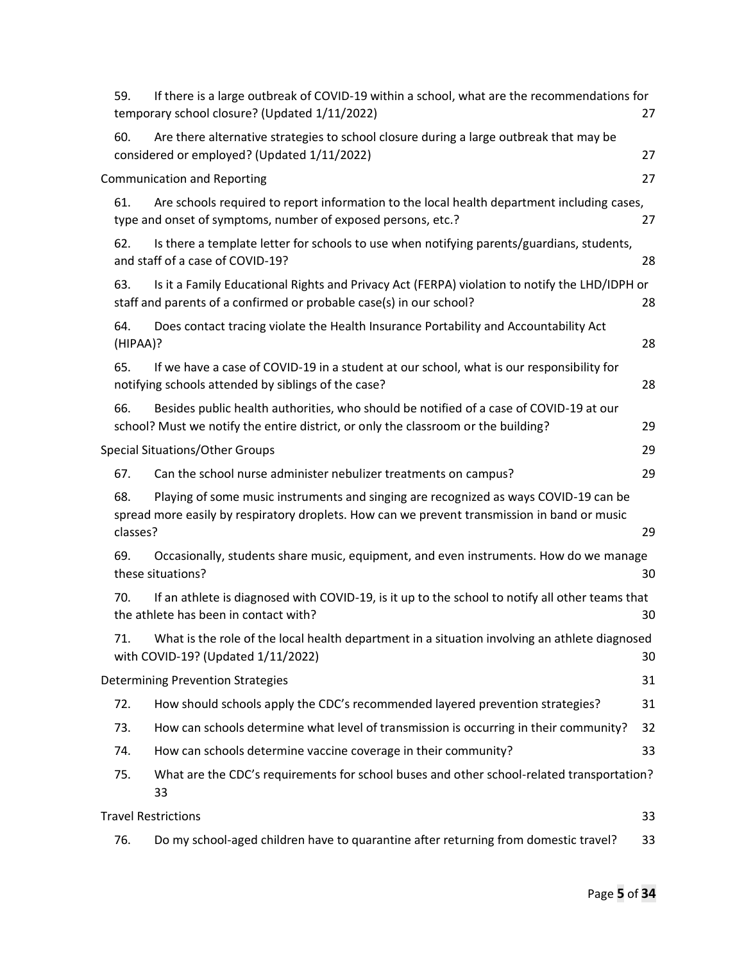| 59.             | If there is a large outbreak of COVID-19 within a school, what are the recommendations for<br>temporary school closure? (Updated 1/11/2022)                                          | 27 |
|-----------------|--------------------------------------------------------------------------------------------------------------------------------------------------------------------------------------|----|
| 60.             | Are there alternative strategies to school closure during a large outbreak that may be<br>considered or employed? (Updated 1/11/2022)                                                | 27 |
|                 | <b>Communication and Reporting</b>                                                                                                                                                   | 27 |
| 61.             | Are schools required to report information to the local health department including cases,<br>type and onset of symptoms, number of exposed persons, etc.?                           | 27 |
| 62.             | Is there a template letter for schools to use when notifying parents/guardians, students,<br>and staff of a case of COVID-19?                                                        | 28 |
| 63.             | Is it a Family Educational Rights and Privacy Act (FERPA) violation to notify the LHD/IDPH or<br>staff and parents of a confirmed or probable case(s) in our school?                 | 28 |
| 64.<br>(HIPAA)? | Does contact tracing violate the Health Insurance Portability and Accountability Act                                                                                                 | 28 |
| 65.             | If we have a case of COVID-19 in a student at our school, what is our responsibility for<br>notifying schools attended by siblings of the case?                                      | 28 |
| 66.             | Besides public health authorities, who should be notified of a case of COVID-19 at our<br>school? Must we notify the entire district, or only the classroom or the building?         | 29 |
|                 | Special Situations/Other Groups                                                                                                                                                      | 29 |
| 67.             | Can the school nurse administer nebulizer treatments on campus?                                                                                                                      | 29 |
| 68.<br>classes? | Playing of some music instruments and singing are recognized as ways COVID-19 can be<br>spread more easily by respiratory droplets. How can we prevent transmission in band or music | 29 |
| 69.             | Occasionally, students share music, equipment, and even instruments. How do we manage<br>these situations?                                                                           | 30 |
| 70.             | If an athlete is diagnosed with COVID-19, is it up to the school to notify all other teams that<br>the athlete has been in contact with?                                             | 30 |
| 71.             | What is the role of the local health department in a situation involving an athlete diagnosed<br>with COVID-19? (Updated 1/11/2022)                                                  | 30 |
|                 | <b>Determining Prevention Strategies</b>                                                                                                                                             | 31 |
| 72.             | How should schools apply the CDC's recommended layered prevention strategies?                                                                                                        | 31 |
| 73.             | How can schools determine what level of transmission is occurring in their community?                                                                                                | 32 |
| 74.             | How can schools determine vaccine coverage in their community?                                                                                                                       | 33 |
| 75.             | What are the CDC's requirements for school buses and other school-related transportation?<br>33                                                                                      |    |
|                 | <b>Travel Restrictions</b>                                                                                                                                                           | 33 |
| 76.             | Do my school-aged children have to quarantine after returning from domestic travel?                                                                                                  | 33 |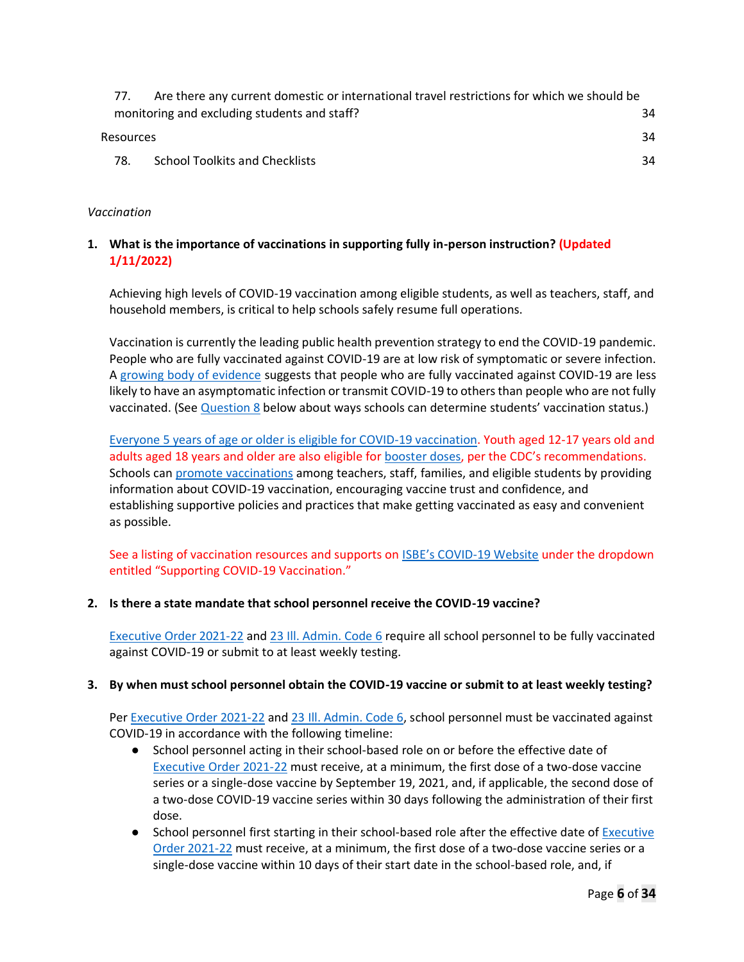| 77.              | Are there any current domestic or international travel restrictions for which we should be |    |  |
|------------------|--------------------------------------------------------------------------------------------|----|--|
|                  | monitoring and excluding students and staff?                                               | 34 |  |
| <b>Resources</b> |                                                                                            | 34 |  |
| 78.              | <b>School Toolkits and Checklists</b>                                                      | 34 |  |

# *Vaccination*

# **1. What is the importance of vaccinations in supporting fully in-person instruction? (Updated 1/11/2022)**

Achieving high levels of COVID-19 vaccination among eligible students, as well as teachers, staff, and household members, is critical to help schools safely resume full operations.

Vaccination is currently the leading public health prevention strategy to end the COVID-19 pandemic. People who are fully vaccinated against COVID-19 are at low risk of symptomatic or severe infection. A growing body of evidence suggests that people who are fully vaccinated against COVID-19 are less likely to have an asymptomatic infection or transmit COVID-19 to others than people who are not fully vaccinated. (See Question 8 below about ways schools can determine students' vaccination status.)

Everyone 5 years of age or older is eligible for COVID-19 vaccination. Youth aged 12-17 years old and adults aged 18 years and older are also eligible for **booster doses**, per the CDC's recommendations. Schools can promote vaccinations among teachers, staff, families, and eligible students by providing information about COVID-19 vaccination, encouraging vaccine trust and confidence, and establishing supportive policies and practices that make getting vaccinated as easy and convenient as possible.

See a listing of vaccination resources and supports on ISBE's COVID-19 Website under the dropdown entitled "Supporting COVID-19 Vaccination."

### **2. Is there a state mandate that school personnel receive the COVID-19 vaccine?**

Executive Order 2021-22 and 23 Ill. Admin. Code 6 require all school personnel to be fully vaccinated against COVID-19 or submit to at least weekly testing.

### **3. By when must school personnel obtain the COVID-19 vaccine or submit to at least weekly testing?**

Per Executive Order 2021-22 and 23 Ill. Admin. Code 6, school personnel must be vaccinated against COVID-19 in accordance with the following timeline:

- School personnel acting in their school-based role on or before the effective date of Executive Order 2021-22 must receive, at a minimum, the first dose of a two-dose vaccine series or a single-dose vaccine by September 19, 2021, and, if applicable, the second dose of a two-dose COVID-19 vaccine series within 30 days following the administration of their first dose.
- School personnel first starting in their school-based role after the effective date of Executive Order 2021-22 must receive, at a minimum, the first dose of a two-dose vaccine series or a single-dose vaccine within 10 days of their start date in the school-based role, and, if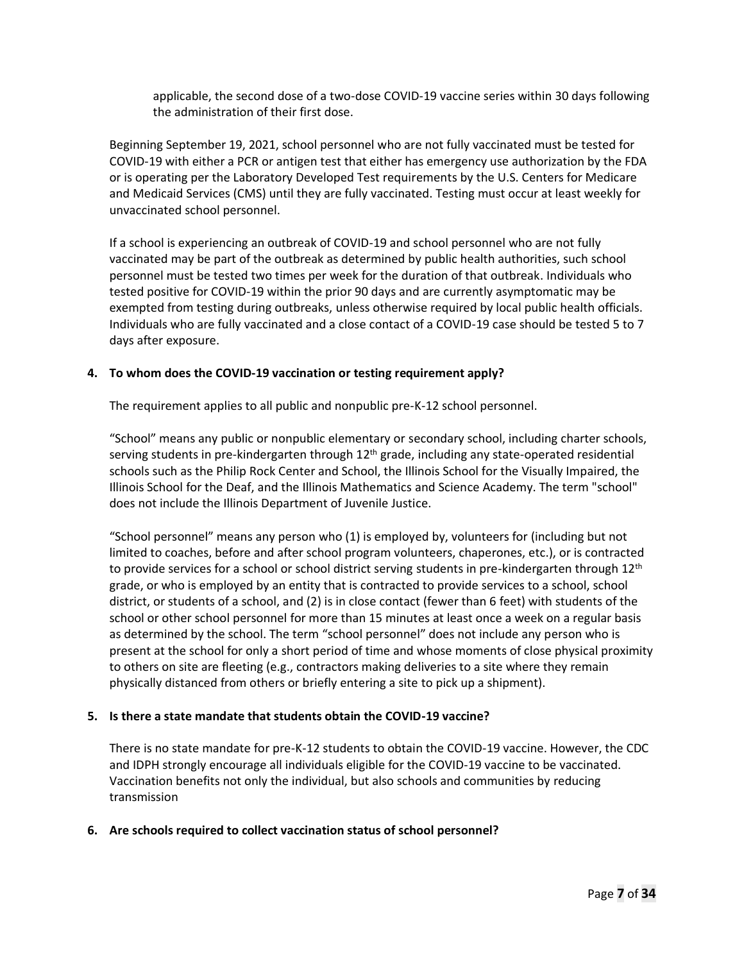applicable, the second dose of a two-dose COVID-19 vaccine series within 30 days following the administration of their first dose.

Beginning September 19, 2021, school personnel who are not fully vaccinated must be tested for COVID-19 with either a PCR or antigen test that either has emergency use authorization by the FDA or is operating per the Laboratory Developed Test requirements by the U.S. Centers for Medicare and Medicaid Services (CMS) until they are fully vaccinated. Testing must occur at least weekly for unvaccinated school personnel.

If a school is experiencing an outbreak of COVID-19 and school personnel who are not fully vaccinated may be part of the outbreak as determined by public health authorities, such school personnel must be tested two times per week for the duration of that outbreak. Individuals who tested positive for COVID-19 within the prior 90 days and are currently asymptomatic may be exempted from testing during outbreaks, unless otherwise required by local public health officials. Individuals who are fully vaccinated and a close contact of a COVID-19 case should be tested 5 to 7 days after exposure.

#### **4. To whom does the COVID-19 vaccination or testing requirement apply?**

The requirement applies to all public and nonpublic pre-K-12 school personnel.

"School" means any public or nonpublic elementary or secondary school, including charter schools, serving students in pre-kindergarten through  $12<sup>th</sup>$  grade, including any state-operated residential schools such as the Philip Rock Center and School, the Illinois School for the Visually Impaired, the Illinois School for the Deaf, and the Illinois Mathematics and Science Academy. The term "school" does not include the Illinois Department of Juvenile Justice.

"School personnel" means any person who (1) is employed by, volunteers for (including but not limited to coaches, before and after school program volunteers, chaperones, etc.), or is contracted to provide services for a school or school district serving students in pre-kindergarten through  $12<sup>th</sup>$ grade, or who is employed by an entity that is contracted to provide services to a school, school district, or students of a school, and (2) is in close contact (fewer than 6 feet) with students of the school or other school personnel for more than 15 minutes at least once a week on a regular basis as determined by the school. The term "school personnel" does not include any person who is present at the school for only a short period of time and whose moments of close physical proximity to others on site are fleeting (e.g., contractors making deliveries to a site where they remain physically distanced from others or briefly entering a site to pick up a shipment).

#### **5. Is there a state mandate that students obtain the COVID-19 vaccine?**

There is no state mandate for pre-K-12 students to obtain the COVID-19 vaccine. However, the CDC and IDPH strongly encourage all individuals eligible for the COVID-19 vaccine to be vaccinated. Vaccination benefits not only the individual, but also schools and communities by reducing transmission

#### **6. Are schools required to collect vaccination status of school personnel?**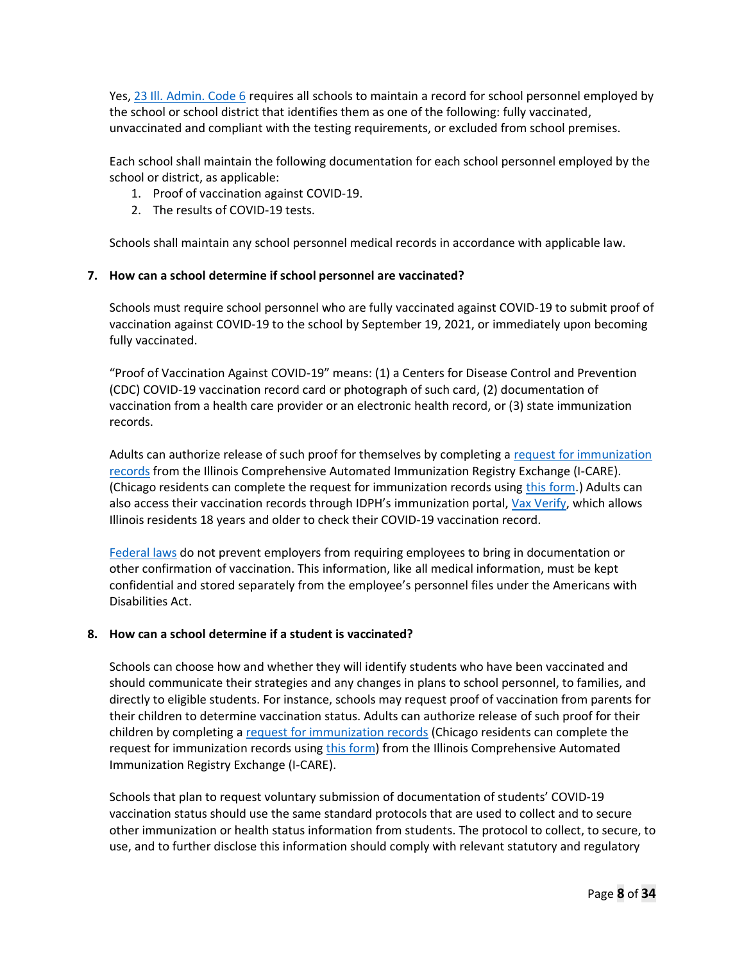Yes, 23 Ill. Admin. Code 6 requires all schools to maintain a record for school personnel employed by the school or school district that identifies them as one of the following: fully vaccinated, unvaccinated and compliant with the testing requirements, or excluded from school premises.

Each school shall maintain the following documentation for each school personnel employed by the school or district, as applicable:

- 1. Proof of vaccination against COVID-19.
- 2. The results of COVID-19 tests.

Schools shall maintain any school personnel medical records in accordance with applicable law.

### **7. How can a school determine if school personnel are vaccinated?**

Schools must require school personnel who are fully vaccinated against COVID-19 to submit proof of vaccination against COVID-19 to the school by September 19, 2021, or immediately upon becoming fully vaccinated.

"Proof of Vaccination Against COVID-19" means: (1) a Centers for Disease Control and Prevention (CDC) COVID-19 vaccination record card or photograph of such card, (2) documentation of vaccination from a health care provider or an electronic health record, or (3) state immunization records.

Adults can authorize release of such proof for themselves by completing a request for immunization records from the Illinois Comprehensive Automated Immunization Registry Exchange (I-CARE). (Chicago residents can complete the request for immunization records using this form.) Adults can also access their vaccination records through IDPH's immunization portal, Vax Verify, which allows Illinois residents 18 years and older to check their COVID-19 vaccination record.

Federal laws do not prevent employers from requiring employees to bring in documentation or other confirmation of vaccination. This information, like all medical information, must be kept confidential and stored separately from the employee's personnel files under the Americans with Disabilities Act.

### **8. How can a school determine if a student is vaccinated?**

Schools can choose how and whether they will identify students who have been vaccinated and should communicate their strategies and any changes in plans to school personnel, to families, and directly to eligible students. For instance, schools may request proof of vaccination from parents for their children to determine vaccination status. Adults can authorize release of such proof for their children by completing a request for immunization records (Chicago residents can complete the request for immunization records using this form) from the Illinois Comprehensive Automated Immunization Registry Exchange (I-CARE).

Schools that plan to request voluntary submission of documentation of students' COVID-19 vaccination status should use the same standard protocols that are used to collect and to secure other immunization or health status information from students. The protocol to collect, to secure, to use, and to further disclose this information should comply with relevant statutory and regulatory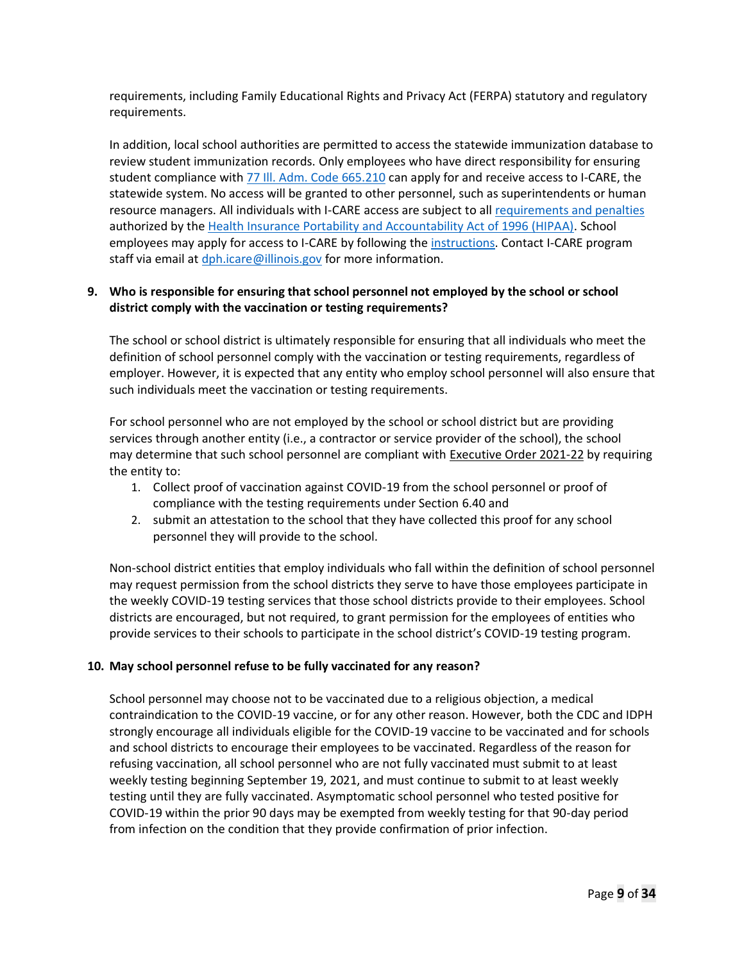requirements, including Family Educational Rights and Privacy Act (FERPA) statutory and regulatory requirements.

In addition, local school authorities are permitted to access the statewide immunization database to review student immunization records. Only employees who have direct responsibility for ensuring student compliance with 77 Ill. Adm. Code 665.210 can apply for and receive access to I-CARE, the statewide system. No access will be granted to other personnel, such as superintendents or human resource managers. All individuals with I-CARE access are subject to all requirements and penalties authorized by the Health Insurance Portability and Accountability Act of 1996 (HIPAA). School employees may apply for access to I-CARE by following the instructions. Contact I-CARE program staff via email at dph.icare@illinois.gov for more information.

# **9. Who is responsible for ensuring that school personnel not employed by the school or school district comply with the vaccination or testing requirements?**

The school or school district is ultimately responsible for ensuring that all individuals who meet the definition of school personnel comply with the vaccination or testing requirements, regardless of employer. However, it is expected that any entity who employ school personnel will also ensure that such individuals meet the vaccination or testing requirements.

For school personnel who are not employed by the school or school district but are providing services through another entity (i.e., a contractor or service provider of the school), the school may determine that such school personnel are compliant with **Executive Order 2021-22** by requiring the entity to:

- 1. Collect proof of vaccination against COVID-19 from the school personnel or proof of compliance with the testing requirements under Section 6.40 and
- 2. submit an attestation to the school that they have collected this proof for any school personnel they will provide to the school.

Non-school district entities that employ individuals who fall within the definition of school personnel may request permission from the school districts they serve to have those employees participate in the weekly COVID-19 testing services that those school districts provide to their employees. School districts are encouraged, but not required, to grant permission for the employees of entities who provide services to their schools to participate in the school district's COVID-19 testing program.

### **10. May school personnel refuse to be fully vaccinated for any reason?**

School personnel may choose not to be vaccinated due to a religious objection, a medical contraindication to the COVID-19 vaccine, or for any other reason. However, both the CDC and IDPH strongly encourage all individuals eligible for the COVID-19 vaccine to be vaccinated and for schools and school districts to encourage their employees to be vaccinated. Regardless of the reason for refusing vaccination, all school personnel who are not fully vaccinated must submit to at least weekly testing beginning September 19, 2021, and must continue to submit to at least weekly testing until they are fully vaccinated. Asymptomatic school personnel who tested positive for COVID-19 within the prior 90 days may be exempted from weekly testing for that 90-day period from infection on the condition that they provide confirmation of prior infection.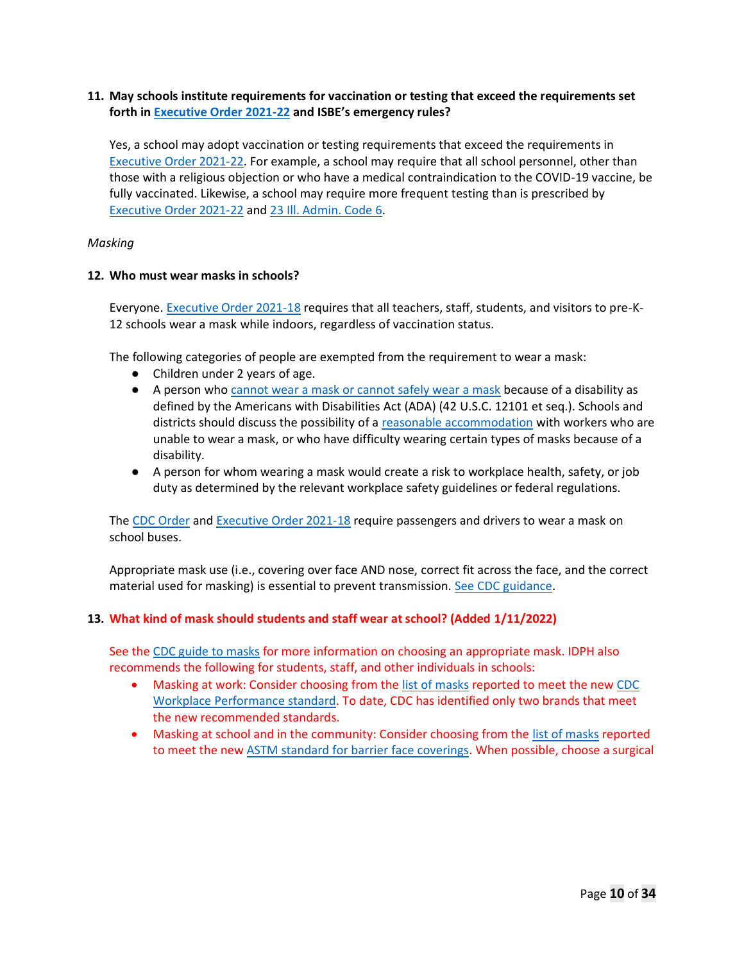### **11. May schools institute requirements for vaccination or testing that exceed the requirements set forth in Executive Order 2021-22 and ISBE's emergency rules?**

Yes, a school may adopt vaccination or testing requirements that exceed the requirements in Executive Order 2021-22. For example, a school may require that all school personnel, other than those with a religious objection or who have a medical contraindication to the COVID-19 vaccine, be fully vaccinated. Likewise, a school may require more frequent testing than is prescribed by Executive Order 2021-22 and 23 Ill. Admin. Code 6.

#### *Masking*

#### **12. Who must wear masks in schools?**

Everyone. Executive Order 2021-18 requires that all teachers, staff, students, and visitors to pre-K-12 schools wear a mask while indoors, regardless of vaccination status.

The following categories of people are exempted from the requirement to wear a mask:

- Children under 2 years of age.
- A person who cannot wear a mask or cannot safely wear a mask because of a disability as defined by the Americans with Disabilities Act (ADA) (42 U.S.C. 12101 et seq.). Schools and districts should discuss the possibility of a reasonable accommodation with workers who are unable to wear a mask, or who have difficulty wearing certain types of masks because of a disability.
- A person for whom wearing a mask would create a risk to workplace health, safety, or job duty as determined by the relevant workplace safety guidelines or federal regulations.

The CDC Order and Executive Order 2021-18 require passengers and drivers to wear a mask on school buses.

Appropriate mask use (i.e., covering over face AND nose, correct fit across the face, and the correct material used for masking) is essential to prevent transmission. See CDC guidance.

### **13. What kind of mask should students and staff wear at school? (Added 1/11/2022)**

See the CDC guide to masks for more information on choosing an appropriate mask. IDPH also recommends the following for students, staff, and other individuals in schools:

- Masking at work: Consider choosing from the list of masks reported to meet the new CDC Workplace Performance standard. To date, CDC has identified only two brands that meet the new recommended standards.
- Masking at school and in the community: Consider choosing from the list of masks reported to meet the new ASTM standard for barrier face coverings. When possible, choose a surgical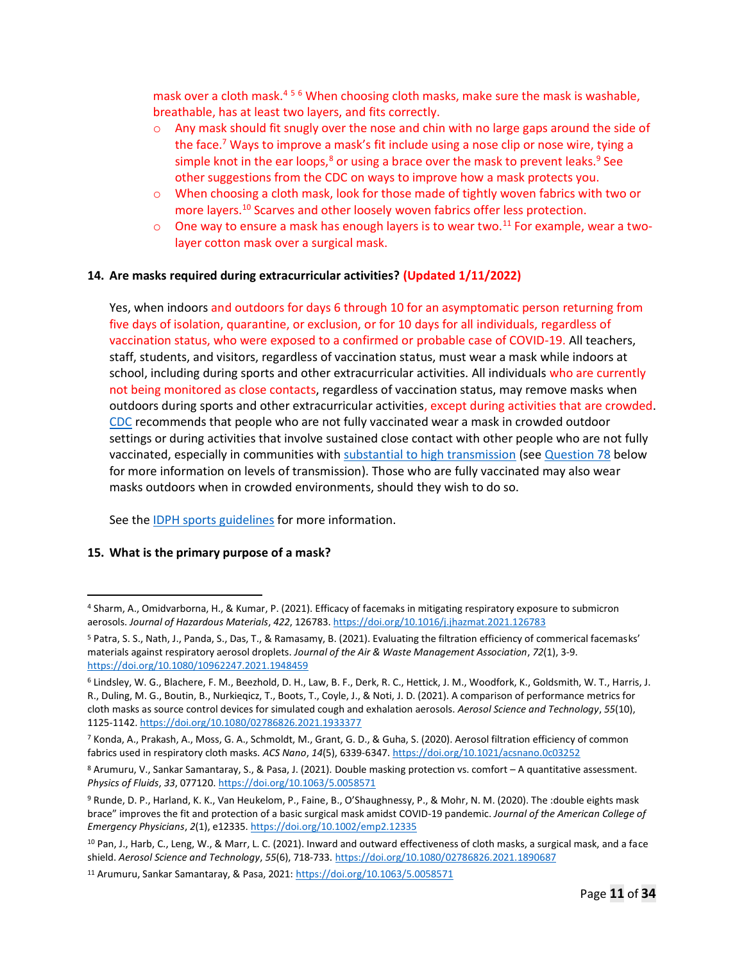mask over a cloth mask.<sup>456</sup> When choosing cloth masks, make sure the mask is washable, breathable, has at least two layers, and fits correctly.

- o Any mask should fit snugly over the nose and chin with no large gaps around the side of the face.<sup>7</sup> Ways to improve a mask's fit include using a nose clip or nose wire, tying a simple knot in the ear loops, $8$  or using a brace over the mask to prevent leaks. $9$  See other suggestions from the CDC on ways to improve how a mask protects you.
- o When choosing a cloth mask, look for those made of tightly woven fabrics with two or more layers.<sup>10</sup> Scarves and other loosely woven fabrics offer less protection.
- $\circ$  One way to ensure a mask has enough layers is to wear two.<sup>11</sup> For example, wear a twolayer cotton mask over a surgical mask.

#### **14. Are masks required during extracurricular activities? (Updated 1/11/2022)**

Yes, when indoors and outdoors for days 6 through 10 for an asymptomatic person returning from five days of isolation, quarantine, or exclusion, or for 10 days for all individuals, regardless of vaccination status, who were exposed to a confirmed or probable case of COVID-19. All teachers, staff, students, and visitors, regardless of vaccination status, must wear a mask while indoors at school, including during sports and other extracurricular activities. All individuals who are currently not being monitored as close contacts, regardless of vaccination status, may remove masks when outdoors during sports and other extracurricular activities, except during activities that are crowded. CDC recommends that people who are not fully vaccinated wear a mask in crowded outdoor settings or during activities that involve sustained close contact with other people who are not fully vaccinated, especially in communities with substantial to high transmission (see Question 78 below for more information on levels of transmission). Those who are fully vaccinated may also wear masks outdoors when in crowded environments, should they wish to do so.

See the IDPH sports guidelines for more information.

#### **15. What is the primary purpose of a mask?**

<sup>4</sup> Sharm, A., Omidvarborna, H., & Kumar, P. (2021). Efficacy of facemaks in mitigating respiratory exposure to submicron aerosols. *Journal of Hazardous Materials*, *422*, 126783. https://doi.org/10.1016/j.jhazmat.2021.126783

<sup>5</sup> Patra, S. S., Nath, J., Panda, S., Das, T., & Ramasamy, B. (2021). Evaluating the filtration efficiency of commerical facemasks' materials against respiratory aerosol droplets. *Journal of the Air & Waste Management Association*, *72*(1), 3-9. https://doi.org/10.1080/10962247.2021.1948459

<sup>6</sup> Lindsley, W. G., Blachere, F. M., Beezhold, D. H., Law, B. F., Derk, R. C., Hettick, J. M., Woodfork, K., Goldsmith, W. T., Harris, J. R., Duling, M. G., Boutin, B., Nurkieqicz, T., Boots, T., Coyle, J., & Noti, J. D. (2021). A comparison of performance metrics for cloth masks as source control devices for simulated cough and exhalation aerosols. *Aerosol Science and Technology*, *55*(10), 1125-1142. https://doi.org/10.1080/02786826.2021.1933377

<sup>7</sup> Konda, A., Prakash, A., Moss, G. A., Schmoldt, M., Grant, G. D., & Guha, S. (2020). Aerosol filtration efficiency of common fabrics used in respiratory cloth masks. *ACS Nano*, *14*(5), 6339-6347. https://doi.org/10.1021/acsnano.0c03252

<sup>8</sup> Arumuru, V., Sankar Samantaray, S., & Pasa, J. (2021). Double masking protection vs. comfort – A quantitative assessment. *Physics of Fluids*, *33*, 077120. https://doi.org/10.1063/5.0058571

<sup>9</sup> Runde, D. P., Harland, K. K., Van Heukelom, P., Faine, B., O'Shaughnessy, P., & Mohr, N. M. (2020). The :double eights mask brace" improves the fit and protection of a basic surgical mask amidst COVID-19 pandemic. *Journal of the American College of Emergency Physicians*, *2*(1), e12335. https://doi.org/10.1002/emp2.12335

<sup>10</sup> Pan, J., Harb, C., Leng, W., & Marr, L. C. (2021). Inward and outward effectiveness of cloth masks, a surgical mask, and a face shield. *Aerosol Science and Technology*, *55*(6), 718-733. https://doi.org/10.1080/02786826.2021.1890687

<sup>11</sup> Arumuru, Sankar Samantaray, & Pasa, 2021: https://doi.org/10.1063/5.0058571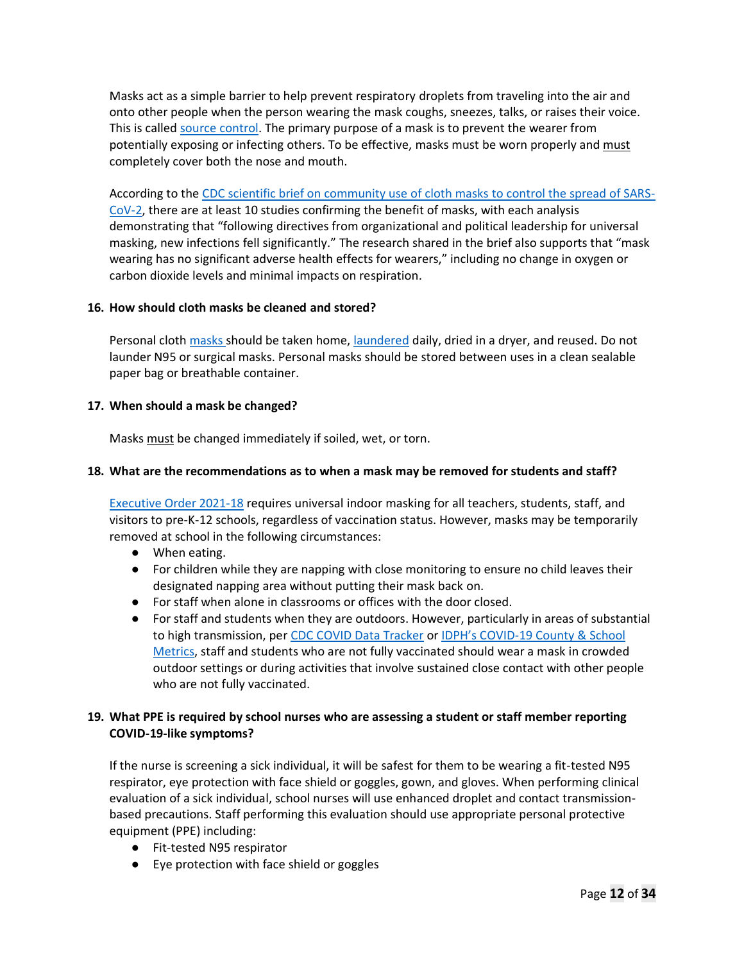Masks act as a simple barrier to help prevent respiratory droplets from traveling into the air and onto other people when the person wearing the mask coughs, sneezes, talks, or raises their voice. This is called source control. The primary purpose of a mask is to prevent the wearer from potentially exposing or infecting others. To be effective, masks must be worn properly and must completely cover both the nose and mouth.

According to the CDC scientific brief on community use of cloth masks to control the spread of SARS-CoV-2, there are at least 10 studies confirming the benefit of masks, with each analysis demonstrating that "following directives from organizational and political leadership for universal masking, new infections fell significantly." The research shared in the brief also supports that "mask wearing has no significant adverse health effects for wearers," including no change in oxygen or carbon dioxide levels and minimal impacts on respiration.

# **16. How should cloth masks be cleaned and stored?**

Personal cloth masks should be taken home, laundered daily, dried in a dryer, and reused. Do not launder N95 or surgical masks. Personal masks should be stored between uses in a clean sealable paper bag or breathable container.

# **17. When should a mask be changed?**

Masks must be changed immediately if soiled, wet, or torn.

# **18. What are the recommendations as to when a mask may be removed for students and staff?**

Executive Order 2021-18 requires universal indoor masking for all teachers, students, staff, and visitors to pre-K-12 schools, regardless of vaccination status. However, masks may be temporarily removed at school in the following circumstances:

- When eating.
- For children while they are napping with close monitoring to ensure no child leaves their designated napping area without putting their mask back on.
- For staff when alone in classrooms or offices with the door closed.
- For staff and students when they are outdoors. However, particularly in areas of substantial to high transmission, per CDC COVID Data Tracker or IDPH's COVID-19 County & School Metrics, staff and students who are not fully vaccinated should wear a mask in crowded outdoor settings or during activities that involve sustained close contact with other people who are not fully vaccinated.

# **19. What PPE is required by school nurses who are assessing a student or staff member reporting COVID-19-like symptoms?**

If the nurse is screening a sick individual, it will be safest for them to be wearing a fit-tested N95 respirator, eye protection with face shield or goggles, gown, and gloves. When performing clinical evaluation of a sick individual, school nurses will use enhanced droplet and contact transmissionbased precautions. Staff performing this evaluation should use appropriate personal protective equipment (PPE) including:

- Fit-tested N95 respirator
- Eye protection with face shield or goggles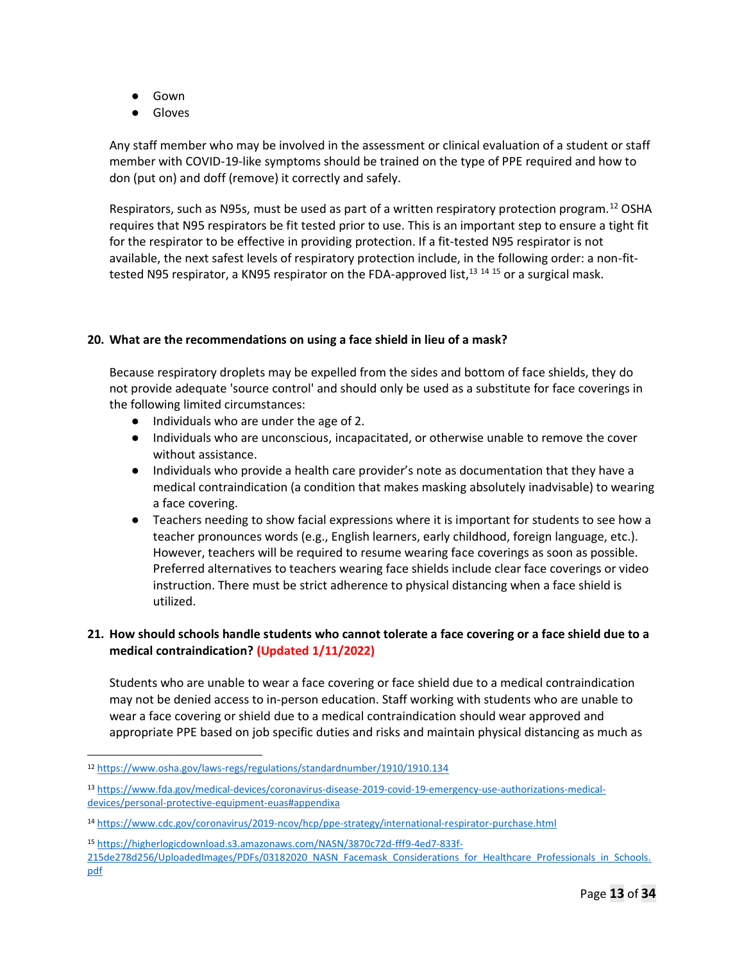- Gown
- Gloves

Any staff member who may be involved in the assessment or clinical evaluation of a student or staff member with COVID-19-like symptoms should be trained on the type of PPE required and how to don (put on) and doff (remove) it correctly and safely.

Respirators, such as N95s, must be used as part of a written respiratory protection program.<sup>12</sup> OSHA requires that N95 respirators be fit tested prior to use. This is an important step to ensure a tight fit for the respirator to be effective in providing protection. If a fit-tested N95 respirator is not available, the next safest levels of respiratory protection include, in the following order: a non-fittested N95 respirator, a KN95 respirator on the FDA-approved list,<sup>13 14 15</sup> or a surgical mask.

#### **20. What are the recommendations on using a face shield in lieu of a mask?**

Because respiratory droplets may be expelled from the sides and bottom of face shields, they do not provide adequate 'source control' and should only be used as a substitute for face coverings in the following limited circumstances:

- Individuals who are under the age of 2.
- Individuals who are unconscious, incapacitated, or otherwise unable to remove the cover without assistance.
- Individuals who provide a health care provider's note as documentation that they have a medical contraindication (a condition that makes masking absolutely inadvisable) to wearing a face covering.
- Teachers needing to show facial expressions where it is important for students to see how a teacher pronounces words (e.g., English learners, early childhood, foreign language, etc.). However, teachers will be required to resume wearing face coverings as soon as possible. Preferred alternatives to teachers wearing face shields include clear face coverings or video instruction. There must be strict adherence to physical distancing when a face shield is utilized.

# **21. How should schools handle students who cannot tolerate a face covering or a face shield due to a medical contraindication? (Updated 1/11/2022)**

Students who are unable to wear a face covering or face shield due to a medical contraindication may not be denied access to in-person education. Staff working with students who are unable to wear a face covering or shield due to a medical contraindication should wear approved and appropriate PPE based on job specific duties and risks and maintain physical distancing as much as

<sup>15</sup> https://higherlogicdownload.s3.amazonaws.com/NASN/3870c72d-fff9-4ed7-833f-

<sup>12</sup> https://www.osha.gov/laws-regs/regulations/standardnumber/1910/1910.134

<sup>13</sup> https://www.fda.gov/medical-devices/coronavirus-disease-2019-covid-19-emergency-use-authorizations-medicaldevices/personal-protective-equipment-euas#appendixa

<sup>14</sup> https://www.cdc.gov/coronavirus/2019-ncov/hcp/ppe-strategy/international-respirator-purchase.html

<sup>215</sup>de278d256/UploadedImages/PDFs/03182020\_NASN\_Facemask\_Considerations\_for\_Healthcare\_Professionals\_in\_Schools. pdf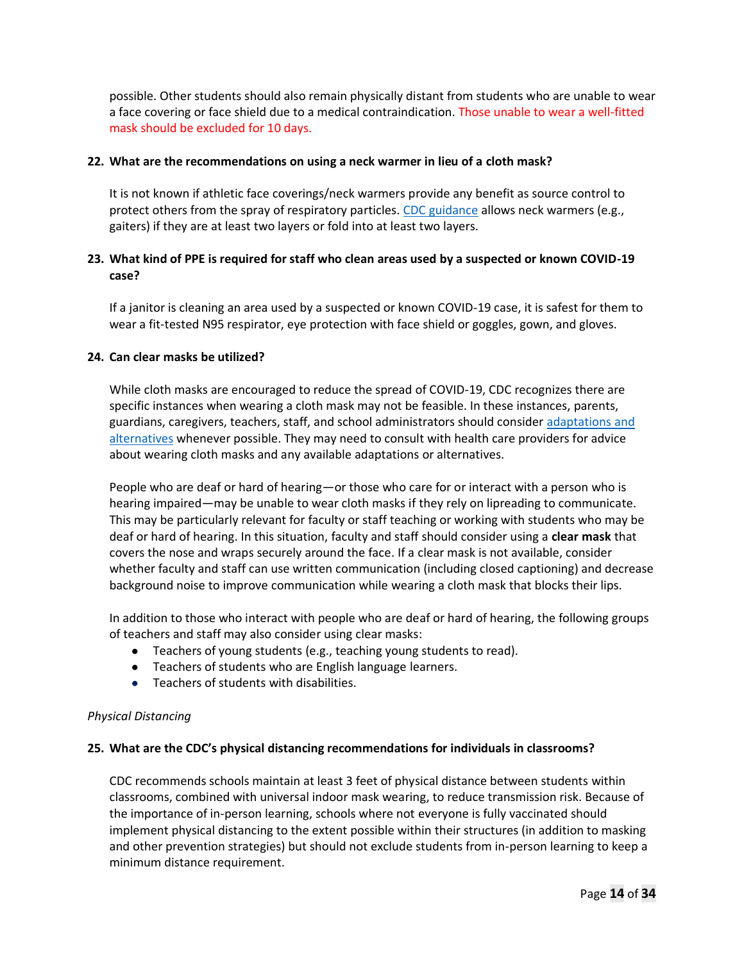possible. Other students should also remain physically distant from students who are unable to wear a face covering or face shield due to a medical contraindication. Those unable to wear a well-fitted mask should be excluded for 10 days.

#### **22. What are the recommendations on using a neck warmer in lieu of a cloth mask?**

It is not known if athletic face coverings/neck warmers provide any benefit as source control to protect others from the spray of respiratory particles. CDC guidance allows neck warmers (e.g., gaiters) if they are at least two layers or fold into at least two layers.

# **23. What kind of PPE is required for staff who clean areas used by a suspected or known COVID-19 case?**

If a janitor is cleaning an area used by a suspected or known COVID-19 case, it is safest for them to wear a fit-tested N95 respirator, eye protection with face shield or goggles, gown, and gloves.

#### **24. Can clear masks be utilized?**

While cloth masks are encouraged to reduce the spread of COVID-19, CDC recognizes there are specific instances when wearing a cloth mask may not be feasible. In these instances, parents, guardians, caregivers, teachers, staff, and school administrators should consider adaptations and alternatives whenever possible. They may need to consult with health care providers for advice about wearing cloth masks and any available adaptations or alternatives.

People who are deaf or hard of hearing—or those who care for or interact with a person who is hearing impaired—may be unable to wear cloth masks if they rely on lipreading to communicate. This may be particularly relevant for faculty or staff teaching or working with students who may be deaf or hard of hearing. In this situation, faculty and staff should consider using a **clear mask** that covers the nose and wraps securely around the face. If a clear mask is not available, consider whether faculty and staff can use written communication (including closed captioning) and decrease background noise to improve communication while wearing a cloth mask that blocks their lips.

In addition to those who interact with people who are deaf or hard of hearing, the following groups of teachers and staff may also consider using clear masks:

- Teachers of young students (e.g., teaching young students to read).
- Teachers of students who are English language learners.
- Teachers of students with disabilities.

#### *Physical Distancing*

#### **25. What are the CDC's physical distancing recommendations for individuals in classrooms?**

CDC recommends schools maintain at least 3 feet of physical distance between students within classrooms, combined with universal indoor mask wearing, to reduce transmission risk. Because of the importance of in-person learning, schools where not everyone is fully vaccinated should implement physical distancing to the extent possible within their structures (in addition to masking and other prevention strategies) but should not exclude students from in-person learning to keep a minimum distance requirement.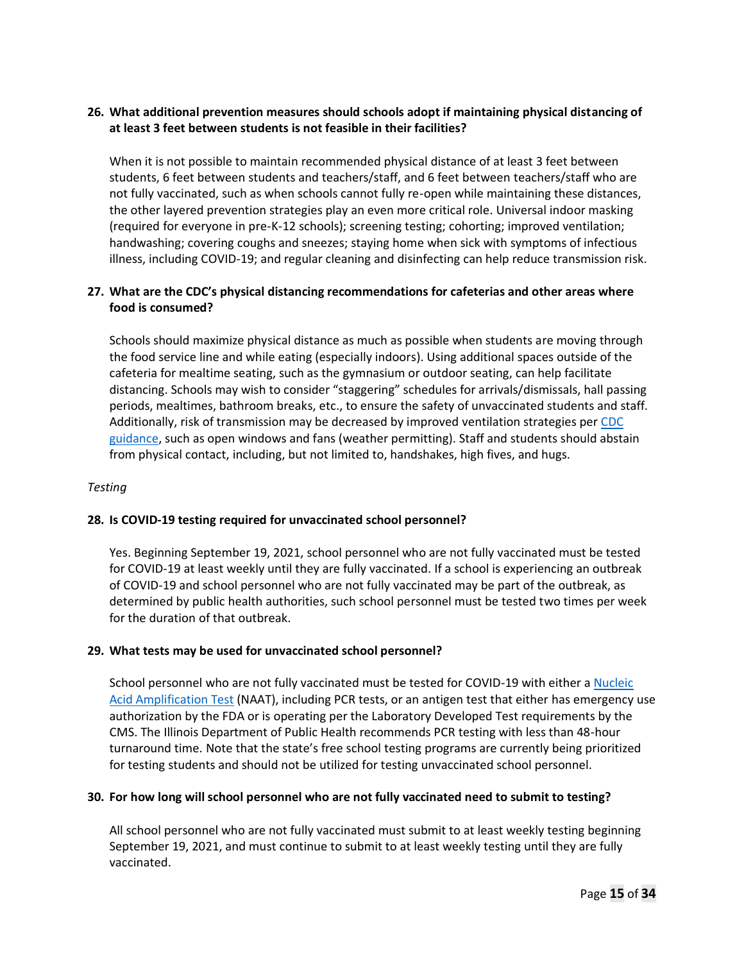# **26. What additional prevention measures should schools adopt if maintaining physical distancing of at least 3 feet between students is not feasible in their facilities?**

When it is not possible to maintain recommended physical distance of at least 3 feet between students, 6 feet between students and teachers/staff, and 6 feet between teachers/staff who are not fully vaccinated, such as when schools cannot fully re-open while maintaining these distances, the other layered prevention strategies play an even more critical role. Universal indoor masking (required for everyone in pre-K-12 schools); screening testing; cohorting; improved ventilation; handwashing; covering coughs and sneezes; staying home when sick with symptoms of infectious illness, including COVID-19; and regular cleaning and disinfecting can help reduce transmission risk.

# **27. What are the CDC's physical distancing recommendations for cafeterias and other areas where food is consumed?**

Schools should maximize physical distance as much as possible when students are moving through the food service line and while eating (especially indoors). Using additional spaces outside of the cafeteria for mealtime seating, such as the gymnasium or outdoor seating, can help facilitate distancing. Schools may wish to consider "staggering" schedules for arrivals/dismissals, hall passing periods, mealtimes, bathroom breaks, etc., to ensure the safety of unvaccinated students and staff. Additionally, risk of transmission may be decreased by improved ventilation strategies per CDC guidance, such as open windows and fans (weather permitting). Staff and students should abstain from physical contact, including, but not limited to, handshakes, high fives, and hugs.

# *Testing*

### **28. Is COVID-19 testing required for unvaccinated school personnel?**

Yes. Beginning September 19, 2021, school personnel who are not fully vaccinated must be tested for COVID-19 at least weekly until they are fully vaccinated. If a school is experiencing an outbreak of COVID-19 and school personnel who are not fully vaccinated may be part of the outbreak, as determined by public health authorities, such school personnel must be tested two times per week for the duration of that outbreak.

#### **29. What tests may be used for unvaccinated school personnel?**

School personnel who are not fully vaccinated must be tested for COVID-19 with either a Nucleic Acid Amplification Test (NAAT), including PCR tests, or an antigen test that either has emergency use authorization by the FDA or is operating per the Laboratory Developed Test requirements by the CMS. The Illinois Department of Public Health recommends PCR testing with less than 48-hour turnaround time. Note that the state's free school testing programs are currently being prioritized for testing students and should not be utilized for testing unvaccinated school personnel.

#### **30. For how long will school personnel who are not fully vaccinated need to submit to testing?**

All school personnel who are not fully vaccinated must submit to at least weekly testing beginning September 19, 2021, and must continue to submit to at least weekly testing until they are fully vaccinated.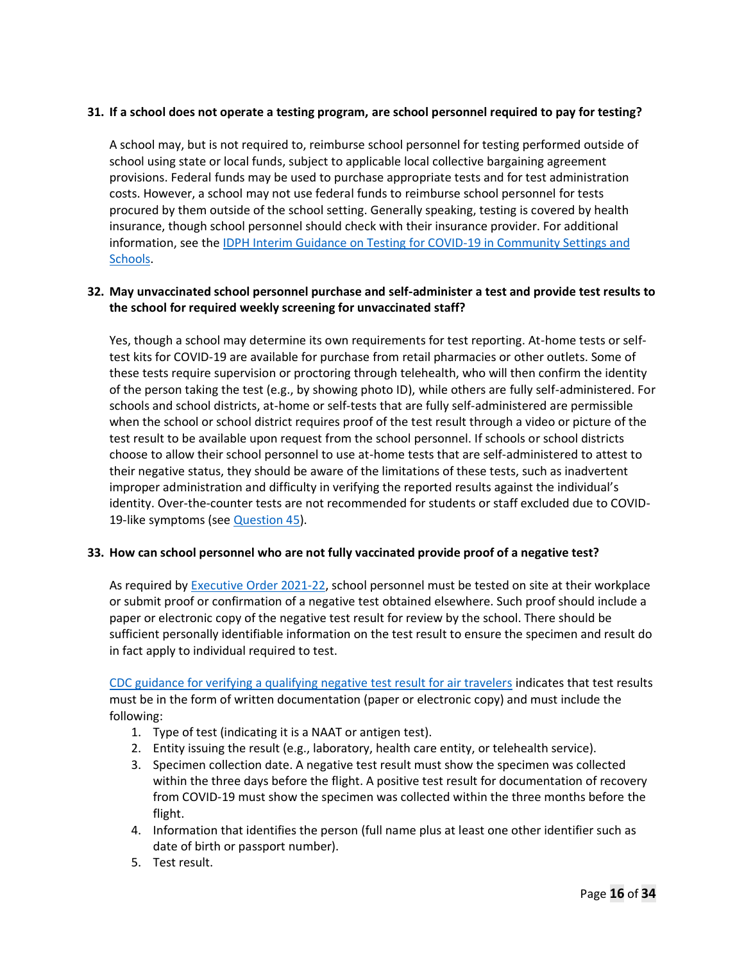# **31. If a school does not operate a testing program, are school personnel required to pay for testing?**

A school may, but is not required to, reimburse school personnel for testing performed outside of school using state or local funds, subject to applicable local collective bargaining agreement provisions. Federal funds may be used to purchase appropriate tests and for test administration costs. However, a school may not use federal funds to reimburse school personnel for tests procured by them outside of the school setting. Generally speaking, testing is covered by health insurance, though school personnel should check with their insurance provider. For additional information, see the IDPH Interim Guidance on Testing for COVID-19 in Community Settings and Schools.

# **32. May unvaccinated school personnel purchase and self-administer a test and provide test results to the school for required weekly screening for unvaccinated staff?**

Yes, though a school may determine its own requirements for test reporting. At-home tests or selftest kits for COVID-19 are available for purchase from retail pharmacies or other outlets. Some of these tests require supervision or proctoring through telehealth, who will then confirm the identity of the person taking the test (e.g., by showing photo ID), while others are fully self-administered. For schools and school districts, at-home or self-tests that are fully self-administered are permissible when the school or school district requires proof of the test result through a video or picture of the test result to be available upon request from the school personnel. If schools or school districts choose to allow their school personnel to use at-home tests that are self-administered to attest to their negative status, they should be aware of the limitations of these tests, such as inadvertent improper administration and difficulty in verifying the reported results against the individual's identity. Over-the-counter tests are not recommended for students or staff excluded due to COVID-19-like symptoms (see Question 45).

### **33. How can school personnel who are not fully vaccinated provide proof of a negative test?**

As required by Executive Order 2021-22, school personnel must be tested on site at their workplace or submit proof or confirmation of a negative test obtained elsewhere. Such proof should include a paper or electronic copy of the negative test result for review by the school. There should be sufficient personally identifiable information on the test result to ensure the specimen and result do in fact apply to individual required to test.

CDC guidance for verifying a qualifying negative test result for air travelers indicates that test results must be in the form of written documentation (paper or electronic copy) and must include the following:

- 1. Type of test (indicating it is a NAAT or antigen test).
- 2. Entity issuing the result (e.g., laboratory, health care entity, or telehealth service).
- 3. Specimen collection date. A negative test result must show the specimen was collected within the three days before the flight. A positive test result for documentation of recovery from COVID-19 must show the specimen was collected within the three months before the flight.
- 4. Information that identifies the person (full name plus at least one other identifier such as date of birth or passport number).
- 5. Test result.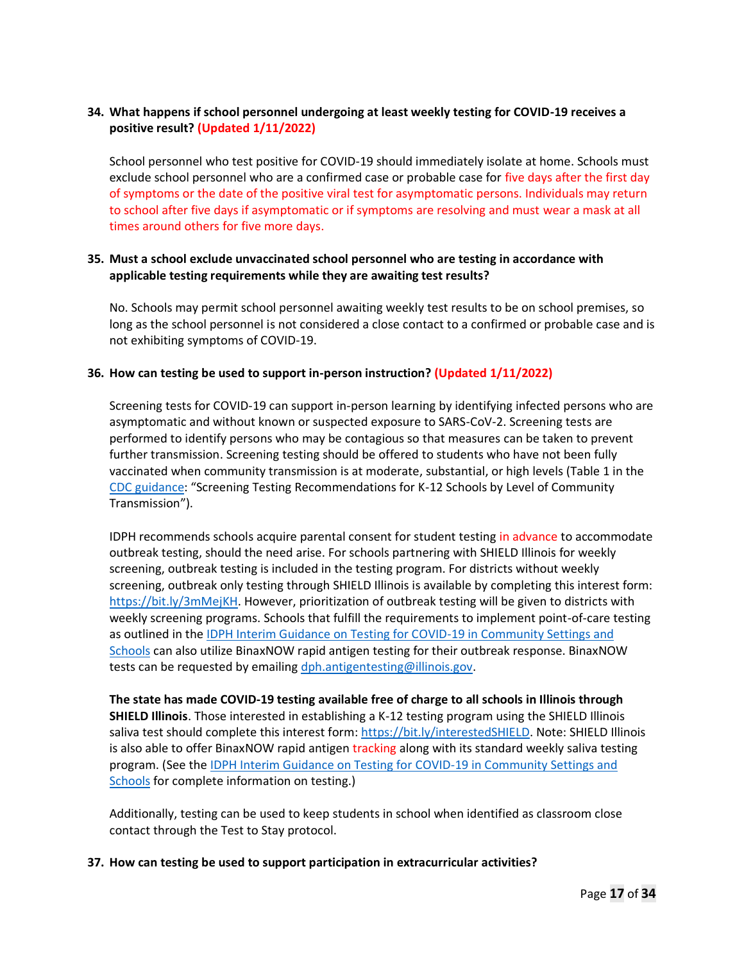# **34. What happens if school personnel undergoing at least weekly testing for COVID-19 receives a positive result? (Updated 1/11/2022)**

School personnel who test positive for COVID-19 should immediately isolate at home. Schools must exclude school personnel who are a confirmed case or probable case for five days after the first day of symptoms or the date of the positive viral test for asymptomatic persons. Individuals may return to school after five days if asymptomatic or if symptoms are resolving and must wear a mask at all times around others for five more days.

### **35. Must a school exclude unvaccinated school personnel who are testing in accordance with applicable testing requirements while they are awaiting test results?**

No. Schools may permit school personnel awaiting weekly test results to be on school premises, so long as the school personnel is not considered a close contact to a confirmed or probable case and is not exhibiting symptoms of COVID-19.

### **36. How can testing be used to support in-person instruction? (Updated 1/11/2022)**

Screening tests for COVID-19 can support in-person learning by identifying infected persons who are asymptomatic and without known or suspected exposure to SARS-CoV-2. Screening tests are performed to identify persons who may be contagious so that measures can be taken to prevent further transmission. Screening testing should be offered to students who have not been fully vaccinated when community transmission is at moderate, substantial, or high levels (Table 1 in the CDC guidance: "Screening Testing Recommendations for K-12 Schools by Level of Community Transmission").

IDPH recommends schools acquire parental consent for student testing in advance to accommodate outbreak testing, should the need arise. For schools partnering with SHIELD Illinois for weekly screening, outbreak testing is included in the testing program. For districts without weekly screening, outbreak only testing through SHIELD Illinois is available by completing this interest form: https://bit.ly/3mMejKH. However, prioritization of outbreak testing will be given to districts with weekly screening programs. Schools that fulfill the requirements to implement point-of-care testing as outlined in the IDPH Interim Guidance on Testing for COVID-19 in Community Settings and Schools can also utilize BinaxNOW rapid antigen testing for their outbreak response. BinaxNOW tests can be requested by emailing dph.antigentesting@illinois.gov.

**The state has made COVID-19 testing available free of charge to all schools in Illinois through SHIELD Illinois**. Those interested in establishing a K-12 testing program using the SHIELD Illinois saliva test should complete this interest form: https://bit.ly/interestedSHIELD. Note: SHIELD Illinois is also able to offer BinaxNOW rapid antigen tracking along with its standard weekly saliva testing program. (See the IDPH Interim Guidance on Testing for COVID-19 in Community Settings and Schools for complete information on testing.)

Additionally, testing can be used to keep students in school when identified as classroom close contact through the Test to Stay protocol.

**37. How can testing be used to support participation in extracurricular activities?**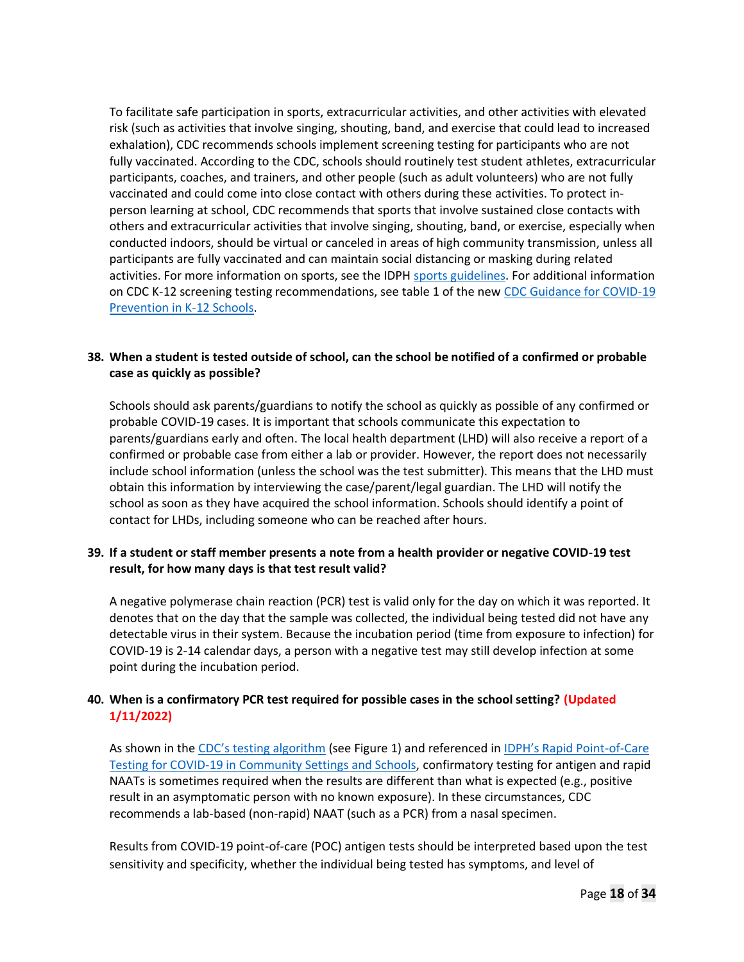To facilitate safe participation in sports, extracurricular activities, and other activities with elevated risk (such as activities that involve singing, shouting, band, and exercise that could lead to increased exhalation), CDC recommends schools implement screening testing for participants who are not fully vaccinated. According to the CDC, schools should routinely test student athletes, extracurricular participants, coaches, and trainers, and other people (such as adult volunteers) who are not fully vaccinated and could come into close contact with others during these activities. To protect inperson learning at school, CDC recommends that sports that involve sustained close contacts with others and extracurricular activities that involve singing, shouting, band, or exercise, especially when conducted indoors, should be virtual or canceled in areas of high community transmission, unless all participants are fully vaccinated and can maintain social distancing or masking during related activities. For more information on sports, see the IDPH sports guidelines. For additional information on CDC K-12 screening testing recommendations, see table 1 of the new CDC Guidance for COVID-19 Prevention in K-12 Schools.

# **38. When a student is tested outside of school, can the school be notified of a confirmed or probable case as quickly as possible?**

Schools should ask parents/guardians to notify the school as quickly as possible of any confirmed or probable COVID-19 cases. It is important that schools communicate this expectation to parents/guardians early and often. The local health department (LHD) will also receive a report of a confirmed or probable case from either a lab or provider. However, the report does not necessarily include school information (unless the school was the test submitter). This means that the LHD must obtain this information by interviewing the case/parent/legal guardian. The LHD will notify the school as soon as they have acquired the school information. Schools should identify a point of contact for LHDs, including someone who can be reached after hours.

### **39. If a student or staff member presents a note from a health provider or negative COVID-19 test result, for how many days is that test result valid?**

A negative polymerase chain reaction (PCR) test is valid only for the day on which it was reported. It denotes that on the day that the sample was collected, the individual being tested did not have any detectable virus in their system. Because the incubation period (time from exposure to infection) for COVID-19 is 2-14 calendar days, a person with a negative test may still develop infection at some point during the incubation period.

# **40. When is a confirmatory PCR test required for possible cases in the school setting? (Updated 1/11/2022)**

As shown in the CDC's testing algorithm (see Figure 1) and referenced in IDPH's Rapid Point-of-Care Testing for COVID-19 in Community Settings and Schools, confirmatory testing for antigen and rapid NAATs is sometimes required when the results are different than what is expected (e.g., positive result in an asymptomatic person with no known exposure). In these circumstances, CDC recommends a lab-based (non-rapid) NAAT (such as a PCR) from a nasal specimen.

Results from COVID-19 point-of-care (POC) antigen tests should be interpreted based upon the test sensitivity and specificity, whether the individual being tested has symptoms, and level of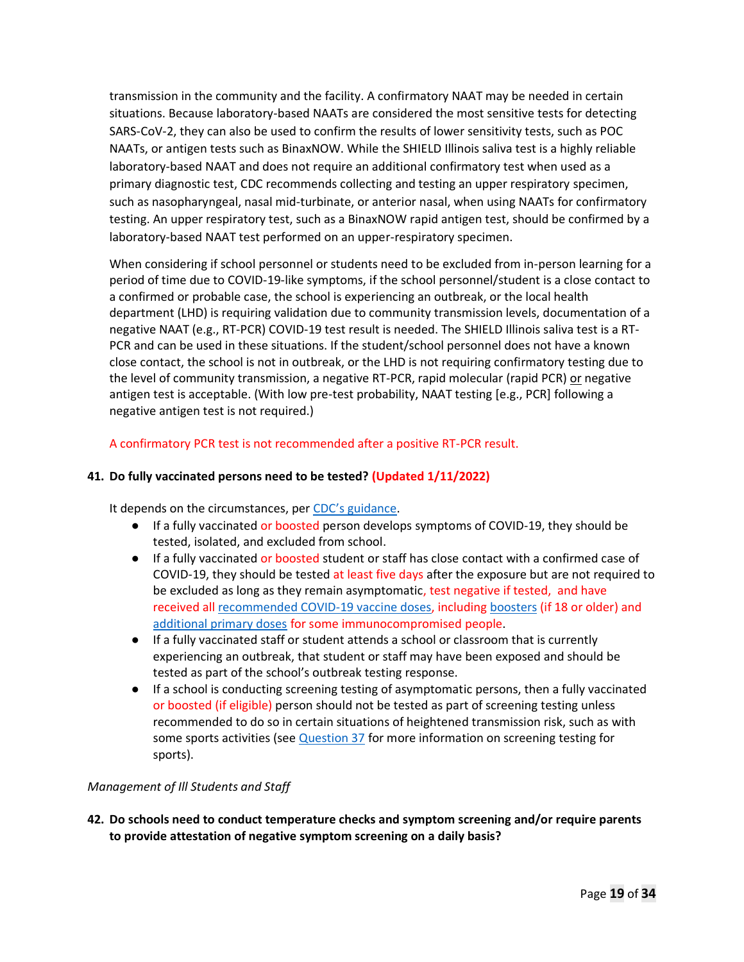transmission in the community and the facility. A confirmatory NAAT may be needed in certain situations. Because laboratory-based NAATs are considered the most sensitive tests for detecting SARS-CoV-2, they can also be used to confirm the results of lower sensitivity tests, such as POC NAATs, or antigen tests such as BinaxNOW. While the SHIELD Illinois saliva test is a highly reliable laboratory-based NAAT and does not require an additional confirmatory test when used as a primary diagnostic test, CDC recommends collecting and testing an upper respiratory specimen, such as nasopharyngeal, nasal mid-turbinate, or anterior nasal, when using NAATs for confirmatory testing. An upper respiratory test, such as a BinaxNOW rapid antigen test, should be confirmed by a laboratory-based NAAT test performed on an upper-respiratory specimen.

When considering if school personnel or students need to be excluded from in-person learning for a period of time due to COVID-19-like symptoms, if the school personnel/student is a close contact to a confirmed or probable case, the school is experiencing an outbreak, or the local health department (LHD) is requiring validation due to community transmission levels, documentation of a negative NAAT (e.g., RT-PCR) COVID-19 test result is needed. The SHIELD Illinois saliva test is a RT-PCR and can be used in these situations. If the student/school personnel does not have a known close contact, the school is not in outbreak, or the LHD is not requiring confirmatory testing due to the level of community transmission, a negative RT-PCR, rapid molecular (rapid PCR) or negative antigen test is acceptable. (With low pre-test probability, NAAT testing [e.g., PCR] following a negative antigen test is not required.)

A confirmatory PCR test is not recommended after a positive RT-PCR result.

# **41. Do fully vaccinated persons need to be tested? (Updated 1/11/2022)**

It depends on the circumstances, per CDC's guidance.

- If a fully vaccinated or boosted person develops symptoms of COVID-19, they should be tested, isolated, and excluded from school.
- If a fully vaccinated or boosted student or staff has close contact with a confirmed case of COVID-19, they should be tested at least five days after the exposure but are not required to be excluded as long as they remain asymptomatic, test negative if tested, and have received all recommended COVID-19 vaccine doses, including boosters (if 18 or older) and additional primary doses for some immunocompromised people.
- If a fully vaccinated staff or student attends a school or classroom that is currently experiencing an outbreak, that student or staff may have been exposed and should be tested as part of the school's outbreak testing response.
- If a school is conducting screening testing of asymptomatic persons, then a fully vaccinated or boosted (if eligible) person should not be tested as part of screening testing unless recommended to do so in certain situations of heightened transmission risk, such as with some sports activities (see  $Q$ uestion 37 for more information on screening testing for sports).

### *Management of Ill Students and Staff*

**42. Do schools need to conduct temperature checks and symptom screening and/or require parents to provide attestation of negative symptom screening on a daily basis?**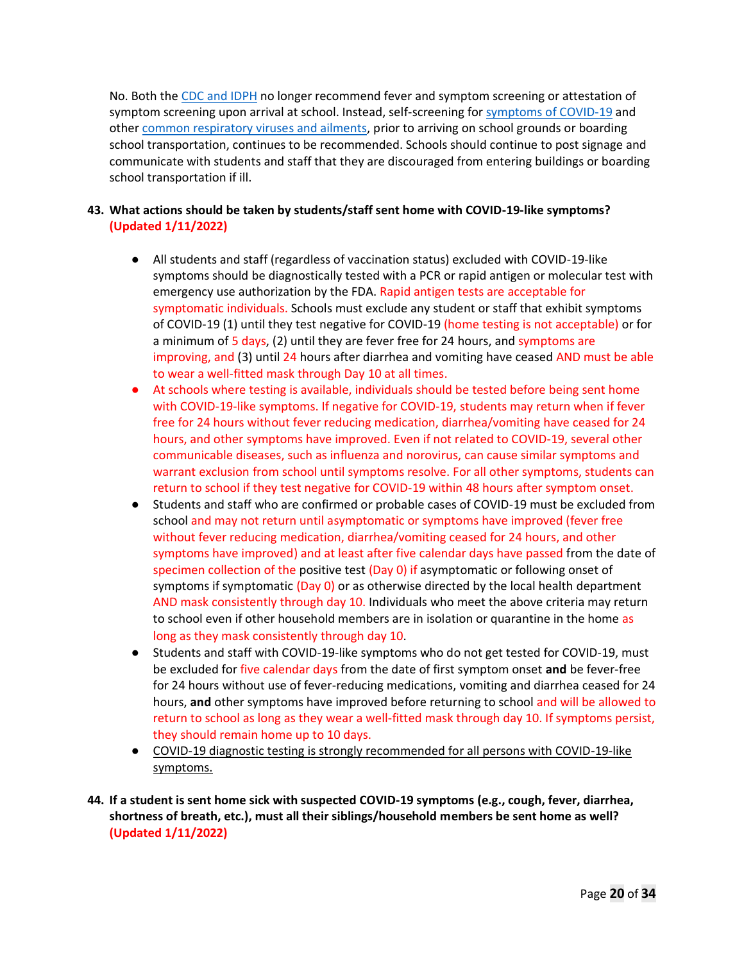No. Both the CDC and IDPH no longer recommend fever and symptom screening or attestation of symptom screening upon arrival at school. Instead, self-screening for symptoms of COVID-19 and other common respiratory viruses and ailments, prior to arriving on school grounds or boarding school transportation, continues to be recommended. Schools should continue to post signage and communicate with students and staff that they are discouraged from entering buildings or boarding school transportation if ill.

# **43. What actions should be taken by students/staff sent home with COVID-19-like symptoms? (Updated 1/11/2022)**

- All students and staff (regardless of vaccination status) excluded with COVID-19-like symptoms should be diagnostically tested with a PCR or rapid antigen or molecular test with emergency use authorization by the FDA. Rapid antigen tests are acceptable for symptomatic individuals. Schools must exclude any student or staff that exhibit symptoms of COVID-19 (1) until they test negative for COVID-19 (home testing is not acceptable) or for a minimum of 5 days, (2) until they are fever free for 24 hours, and symptoms are improving, and (3) until 24 hours after diarrhea and vomiting have ceased AND must be able to wear a well-fitted mask through Day 10 at all times.
- At schools where testing is available, individuals should be tested before being sent home with COVID-19-like symptoms. If negative for COVID-19, students may return when if fever free for 24 hours without fever reducing medication, diarrhea/vomiting have ceased for 24 hours, and other symptoms have improved. Even if not related to COVID-19, several other communicable diseases, such as influenza and norovirus, can cause similar symptoms and warrant exclusion from school until symptoms resolve. For all other symptoms, students can return to school if they test negative for COVID-19 within 48 hours after symptom onset.
- Students and staff who are confirmed or probable cases of COVID-19 must be excluded from school and may not return until asymptomatic or symptoms have improved (fever free without fever reducing medication, diarrhea/vomiting ceased for 24 hours, and other symptoms have improved) and at least after five calendar days have passed from the date of specimen collection of the positive test  $(Day 0)$  if asymptomatic or following onset of symptoms if symptomatic (Day 0) or as otherwise directed by the local health department AND mask consistently through day 10. Individuals who meet the above criteria may return to school even if other household members are in isolation or quarantine in the home as long as they mask consistently through day 10.
- Students and staff with COVID-19-like symptoms who do not get tested for COVID-19, must be excluded for five calendar days from the date of first symptom onset **and** be fever-free for 24 hours without use of fever-reducing medications, vomiting and diarrhea ceased for 24 hours, **and** other symptoms have improved before returning to school and will be allowed to return to school as long as they wear a well-fitted mask through day 10. If symptoms persist, they should remain home up to 10 days.
- COVID-19 diagnostic testing is strongly recommended for all persons with COVID-19-like symptoms.
- **44. If a student is sent home sick with suspected COVID-19 symptoms (e.g., cough, fever, diarrhea, shortness of breath, etc.), must all their siblings/household members be sent home as well? (Updated 1/11/2022)**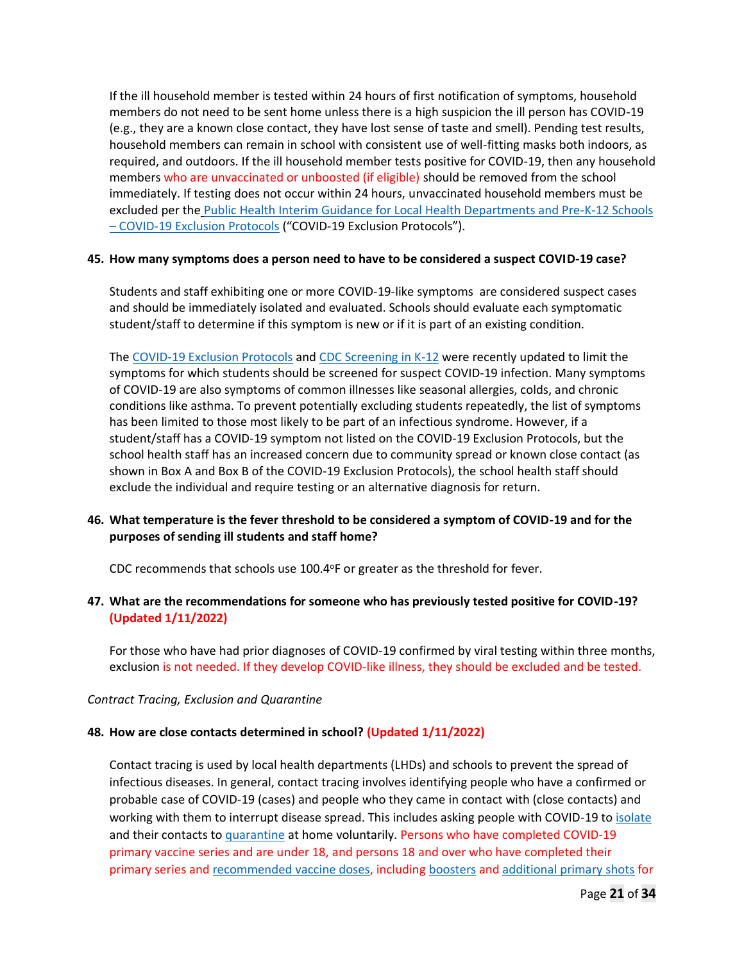If the ill household member is tested within 24 hours of first notification of symptoms, household members do not need to be sent home unless there is a high suspicion the ill person has COVID-19 (e.g., they are a known close contact, they have lost sense of taste and smell). Pending test results, household members can remain in school with consistent use of well-fitting masks both indoors, as required, and outdoors. If the ill household member tests positive for COVID-19, then any household members who are unvaccinated or unboosted (if eligible) should be removed from the school immediately. If testing does not occur within 24 hours, unvaccinated household members must be excluded per the Public Health Interim Guidance for Local Health Departments and Pre-K-12 Schools – COVID-19 Exclusion Protocols ("COVID-19 Exclusion Protocols").

#### **45. How many symptoms does a person need to have to be considered a suspect COVID-19 case?**

Students and staff exhibiting one or more COVID-19-like symptoms are considered suspect cases and should be immediately isolated and evaluated. Schools should evaluate each symptomatic student/staff to determine if this symptom is new or if it is part of an existing condition.

The COVID-19 Exclusion Protocols and CDC Screening in K-12 were recently updated to limit the symptoms for which students should be screened for suspect COVID-19 infection. Many symptoms of COVID-19 are also symptoms of common illnesses like seasonal allergies, colds, and chronic conditions like asthma. To prevent potentially excluding students repeatedly, the list of symptoms has been limited to those most likely to be part of an infectious syndrome. However, if a student/staff has a COVID-19 symptom not listed on the COVID-19 Exclusion Protocols, but the school health staff has an increased concern due to community spread or known close contact (as shown in Box A and Box B of the COVID-19 Exclusion Protocols), the school health staff should exclude the individual and require testing or an alternative diagnosis for return.

# **46. What temperature is the fever threshold to be considered a symptom of COVID-19 and for the purposes of sending ill students and staff home?**

CDC recommends that schools use 100.4°F or greater as the threshold for fever.

# **47. What are the recommendations for someone who has previously tested positive for COVID-19? (Updated 1/11/2022)**

For those who have had prior diagnoses of COVID-19 confirmed by viral testing within three months, exclusion is not needed. If they develop COVID-like illness, they should be excluded and be tested.

#### *Contract Tracing, Exclusion and Quarantine*

### **48. How are close contacts determined in school? (Updated 1/11/2022)**

Contact tracing is used by local health departments (LHDs) and schools to prevent the spread of infectious diseases. In general, contact tracing involves identifying people who have a confirmed or probable case of COVID-19 (cases) and people who they came in contact with (close contacts) and working with them to interrupt disease spread. This includes asking people with COVID-19 to isolate and their contacts to quarantine at home voluntarily. Persons who have completed COVID-19 primary vaccine series and are under 18, and persons 18 and over who have completed their primary series and recommended vaccine doses, including boosters and additional primary shots for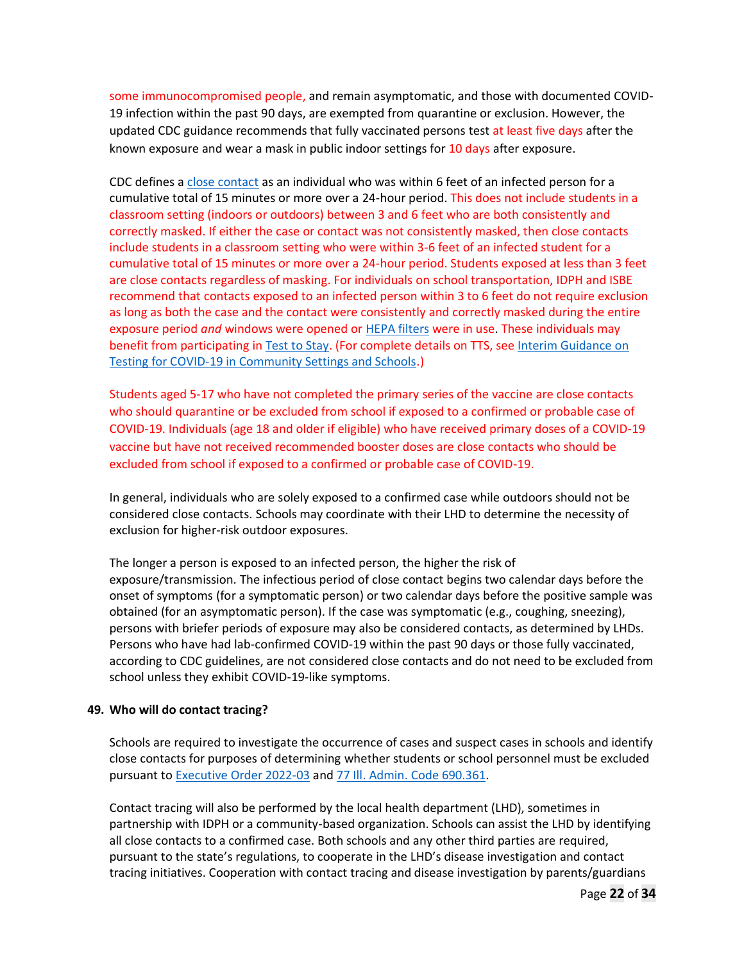some immunocompromised people, and remain asymptomatic, and those with documented COVID-19 infection within the past 90 days, are exempted from quarantine or exclusion. However, the updated CDC guidance recommends that fully vaccinated persons test at least five days after the known exposure and wear a mask in public indoor settings for 10 days after exposure.

CDC defines a close contact as an individual who was within 6 feet of an infected person for a cumulative total of 15 minutes or more over a 24-hour period. This does not include students in a classroom setting (indoors or outdoors) between 3 and 6 feet who are both consistently and correctly masked. If either the case or contact was not consistently masked, then close contacts include students in a classroom setting who were within 3-6 feet of an infected student for a cumulative total of 15 minutes or more over a 24-hour period. Students exposed at less than 3 feet are close contacts regardless of masking. For individuals on school transportation, IDPH and ISBE recommend that contacts exposed to an infected person within 3 to 6 feet do not require exclusion as long as both the case and the contact were consistently and correctly masked during the entire exposure period *and* windows were opened or HEPA filters were in use. These individuals may benefit from participating in Test to Stay. (For complete details on TTS, see Interim Guidance on Testing for COVID-19 in Community Settings and Schools.)

Students aged 5-17 who have not completed the primary series of the vaccine are close contacts who should quarantine or be excluded from school if exposed to a confirmed or probable case of COVID-19. Individuals (age 18 and older if eligible) who have received primary doses of a COVID-19 vaccine but have not received recommended booster doses are close contacts who should be excluded from school if exposed to a confirmed or probable case of COVID-19.

In general, individuals who are solely exposed to a confirmed case while outdoors should not be considered close contacts. Schools may coordinate with their LHD to determine the necessity of exclusion for higher-risk outdoor exposures.

The longer a person is exposed to an infected person, the higher the risk of exposure/transmission. The infectious period of close contact begins two calendar days before the onset of symptoms (for a symptomatic person) or two calendar days before the positive sample was obtained (for an asymptomatic person). If the case was symptomatic (e.g., coughing, sneezing), persons with briefer periods of exposure may also be considered contacts, as determined by LHDs. Persons who have had lab-confirmed COVID-19 within the past 90 days or those fully vaccinated, according to CDC guidelines, are not considered close contacts and do not need to be excluded from school unless they exhibit COVID-19-like symptoms.

#### **49. Who will do contact tracing?**

Schools are required to investigate the occurrence of cases and suspect cases in schools and identify close contacts for purposes of determining whether students or school personnel must be excluded pursuant to Executive Order 2022-03 and 77 Ill. Admin. Code 690.361.

Contact tracing will also be performed by the local health department (LHD), sometimes in partnership with IDPH or a community-based organization. Schools can assist the LHD by identifying all close contacts to a confirmed case. Both schools and any other third parties are required, pursuant to the state's regulations, to cooperate in the LHD's disease investigation and contact tracing initiatives. Cooperation with contact tracing and disease investigation by parents/guardians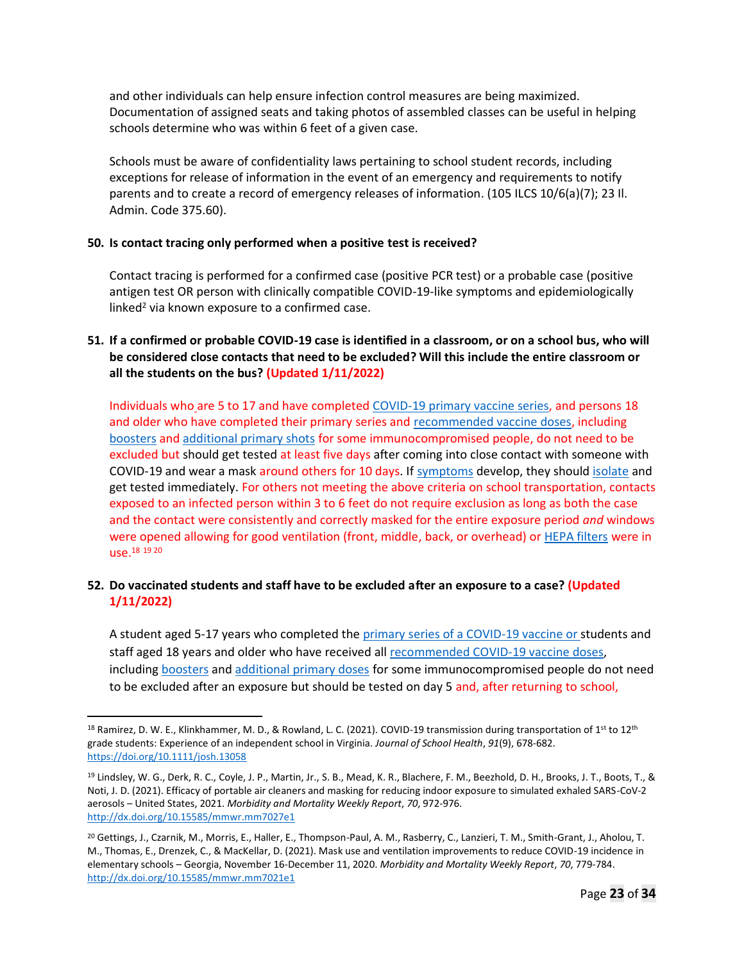and other individuals can help ensure infection control measures are being maximized. Documentation of assigned seats and taking photos of assembled classes can be useful in helping schools determine who was within 6 feet of a given case.

Schools must be aware of confidentiality laws pertaining to school student records, including exceptions for release of information in the event of an emergency and requirements to notify parents and to create a record of emergency releases of information. (105 ILCS 10/6(a)(7); 23 II. Admin. Code 375.60).

#### **50. Is contact tracing only performed when a positive test is received?**

Contact tracing is performed for a confirmed case (positive PCR test) or a probable case (positive antigen test OR person with clinically compatible COVID-19-like symptoms and epidemiologically linked<sup>2</sup> via known exposure to a confirmed case.

# **51. If a confirmed or probable COVID-19 case is identified in a classroom, or on a school bus, who will be considered close contacts that need to be excluded? Will this include the entire classroom or all the students on the bus? (Updated 1/11/2022)**

Individuals who are 5 to 17 and have completed COVID-19 primary vaccine series, and persons 18 and older who have completed their primary series and recommended vaccine doses, including boosters and additional primary shots for some immunocompromised people, do not need to be excluded but should get tested at least five days after coming into close contact with someone with COVID-19 and wear a mask around others for 10 days. If symptoms develop, they should isolate and get tested immediately. For others not meeting the above criteria on school transportation, contacts exposed to an infected person within 3 to 6 feet do not require exclusion as long as both the case and the contact were consistently and correctly masked for the entire exposure period *and* windows were opened allowing for good ventilation (front, middle, back, or overhead) or HEPA filters were in use. 18 19 20

# **52. Do vaccinated students and staff have to be excluded after an exposure to a case? (Updated 1/11/2022)**

A student aged 5-17 years who completed the primary series of a COVID-19 vaccine or students and staff aged 18 years and older who have received all recommended COVID-19 vaccine doses, including boosters and additional primary doses for some immunocompromised people do not need to be excluded after an exposure but should be tested on day 5 and, after returning to school,

<sup>&</sup>lt;sup>18</sup> Ramirez, D. W. E., Klinkhammer, M. D., & Rowland, L. C. (2021). COVID-19 transmission during transportation of  $1^{st}$  to  $12^{th}$ grade students: Experience of an independent school in Virginia. *Journal of School Health*, *91*(9), 678-682. https://doi.org/10.1111/josh.13058

<sup>19</sup> Lindsley, W. G., Derk, R. C., Coyle, J. P., Martin, Jr., S. B., Mead, K. R., Blachere, F. M., Beezhold, D. H., Brooks, J. T., Boots, T., & Noti, J. D. (2021). Efficacy of portable air cleaners and masking for reducing indoor exposure to simulated exhaled SARS-CoV-2 aerosols – United States, 2021. *Morbidity and Mortality Weekly Report*, *70*, 972-976. http://dx.doi.org/10.15585/mmwr.mm7027e1

<sup>20</sup> Gettings, J., Czarnik, M., Morris, E., Haller, E., Thompson-Paul, A. M., Rasberry, C., Lanzieri, T. M., Smith-Grant, J., Aholou, T. M., Thomas, E., Drenzek, C., & MacKellar, D. (2021). Mask use and ventilation improvements to reduce COVID-19 incidence in elementary schools – Georgia, November 16-December 11, 2020. *Morbidity and Mortality Weekly Report*, *70*, 779-784. http://dx.doi.org/10.15585/mmwr.mm7021e1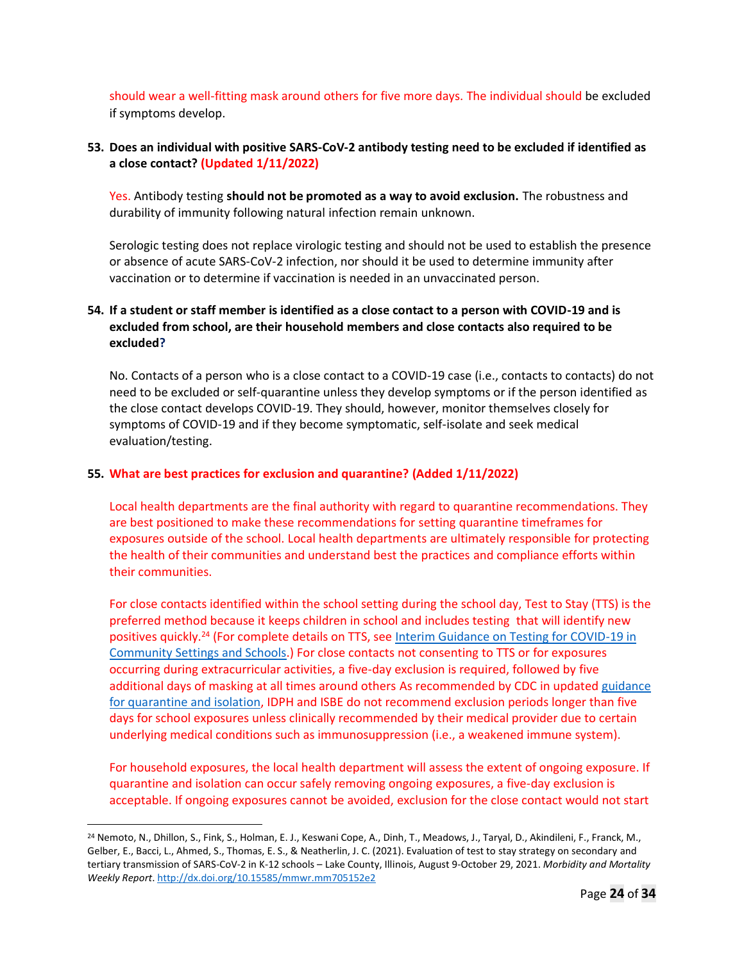should wear a well-fitting mask around others for five more days. The individual should be excluded if symptoms develop.

### **53. Does an individual with positive SARS-CoV-2 antibody testing need to be excluded if identified as a close contact? (Updated 1/11/2022)**

Yes. Antibody testing **should not be promoted as a way to avoid exclusion.** The robustness and durability of immunity following natural infection remain unknown.

Serologic testing does not replace virologic testing and should not be used to establish the presence or absence of acute SARS-CoV-2 infection, nor should it be used to determine immunity after vaccination or to determine if vaccination is needed in an unvaccinated person.

# **54. If a student or staff member is identified as a close contact to a person with COVID-19 and is excluded from school, are their household members and close contacts also required to be excluded?**

No. Contacts of a person who is a close contact to a COVID-19 case (i.e., contacts to contacts) do not need to be excluded or self-quarantine unless they develop symptoms or if the person identified as the close contact develops COVID-19. They should, however, monitor themselves closely for symptoms of COVID-19 and if they become symptomatic, self-isolate and seek medical evaluation/testing.

#### **55. What are best practices for exclusion and quarantine? (Added 1/11/2022)**

Local health departments are the final authority with regard to quarantine recommendations. They are best positioned to make these recommendations for setting quarantine timeframes for exposures outside of the school. Local health departments are ultimately responsible for protecting the health of their communities and understand best the practices and compliance efforts within their communities.

For close contacts identified within the school setting during the school day, Test to Stay (TTS) is the preferred method because it keeps children in school and includes testing that will identify new positives quickly.<sup>24</sup> (For complete details on TTS, see Interim Guidance on Testing for COVID-19 in Community Settings and Schools.) For close contacts not consenting to TTS or for exposures occurring during extracurricular activities, a five-day exclusion is required, followed by five additional days of masking at all times around others As recommended by CDC in updated guidance for quarantine and isolation, IDPH and ISBE do not recommend exclusion periods longer than five days for school exposures unless clinically recommended by their medical provider due to certain underlying medical conditions such as immunosuppression (i.e., a weakened immune system).

For household exposures, the local health department will assess the extent of ongoing exposure. If quarantine and isolation can occur safely removing ongoing exposures, a five-day exclusion is acceptable. If ongoing exposures cannot be avoided, exclusion for the close contact would not start

<sup>&</sup>lt;sup>24</sup> Nemoto, N., Dhillon, S., Fink, S., Holman, E. J., Keswani Cope, A., Dinh, T., Meadows, J., Taryal, D., Akindileni, F., Franck, M., Gelber, E., Bacci, L., Ahmed, S., Thomas, E. S., & Neatherlin, J. C. (2021). Evaluation of test to stay strategy on secondary and tertiary transmission of SARS-CoV-2 in K-12 schools – Lake County, Illinois, August 9-October 29, 2021. *Morbidity and Mortality Weekly Report*. http://dx.doi.org/10.15585/mmwr.mm705152e2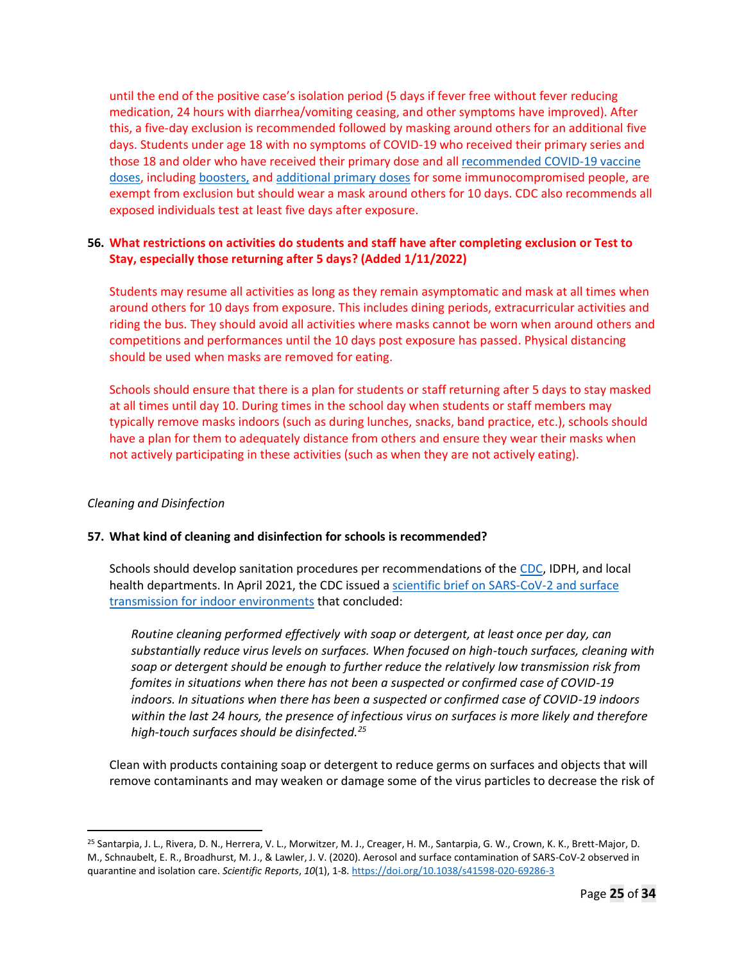until the end of the positive case's isolation period (5 days if fever free without fever reducing medication, 24 hours with diarrhea/vomiting ceasing, and other symptoms have improved). After this, a five-day exclusion is recommended followed by masking around others for an additional five days. Students under age 18 with no symptoms of COVID-19 who received their primary series and those 18 and older who have received their primary dose and all recommended COVID-19 vaccine doses, including boosters, and additional primary doses for some immunocompromised people, are exempt from exclusion but should wear a mask around others for 10 days. CDC also recommends all exposed individuals test at least five days after exposure.

### **56. What restrictions on activities do students and staff have after completing exclusion or Test to Stay, especially those returning after 5 days? (Added 1/11/2022)**

Students may resume all activities as long as they remain asymptomatic and mask at all times when around others for 10 days from exposure. This includes dining periods, extracurricular activities and riding the bus. They should avoid all activities where masks cannot be worn when around others and competitions and performances until the 10 days post exposure has passed. Physical distancing should be used when masks are removed for eating.

Schools should ensure that there is a plan for students or staff returning after 5 days to stay masked at all times until day 10. During times in the school day when students or staff members may typically remove masks indoors (such as during lunches, snacks, band practice, etc.), schools should have a plan for them to adequately distance from others and ensure they wear their masks when not actively participating in these activities (such as when they are not actively eating).

### *Cleaning and Disinfection*

### **57. What kind of cleaning and disinfection for schools is recommended?**

Schools should develop sanitation procedures per recommendations of the CDC, IDPH, and local health departments. In April 2021, the CDC issued a scientific brief on SARS-CoV-2 and surface transmission for indoor environments that concluded:

*Routine cleaning performed effectively with soap or detergent, at least once per day, can substantially reduce virus levels on surfaces. When focused on high-touch surfaces, cleaning with soap or detergent should be enough to further reduce the relatively low transmission risk from fomites in situations when there has not been a suspected or confirmed case of COVID-19 indoors. In situations when there has been a suspected or confirmed case of COVID-19 indoors within the last 24 hours, the presence of infectious virus on surfaces is more likely and therefore high-touch surfaces should be disinfected.<sup>25</sup>*

Clean with products containing soap or detergent to reduce germs on surfaces and objects that will remove contaminants and may weaken or damage some of the virus particles to decrease the risk of

<sup>25</sup> Santarpia, J. L., Rivera, D. N., Herrera, V. L., Morwitzer, M. J., Creager, H. M., Santarpia, G. W., Crown, K. K., Brett-Major, D. M., Schnaubelt, E. R., Broadhurst, M. J., & Lawler, J. V. (2020). Aerosol and surface contamination of SARS-CoV-2 observed in quarantine and isolation care. *Scientific Reports*, *10*(1), 1-8. https://doi.org/10.1038/s41598-020-69286-3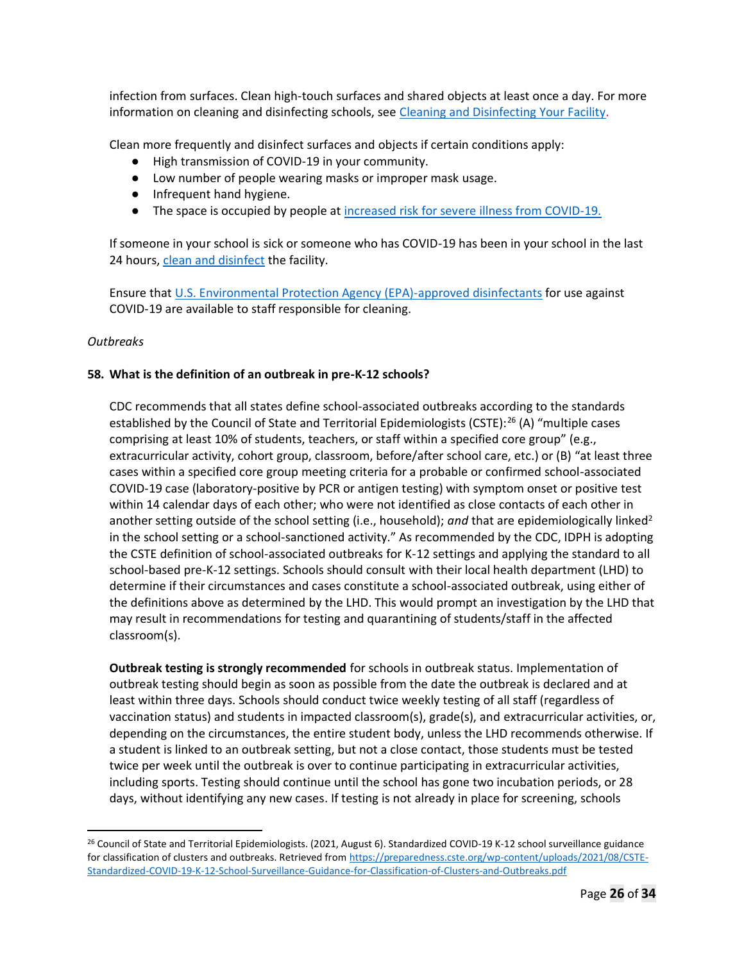infection from surfaces. Clean high-touch surfaces and shared objects at least once a day. For more information on cleaning and disinfecting schools, see Cleaning and Disinfecting Your Facility.

Clean more frequently and disinfect surfaces and objects if certain conditions apply:

- High transmission of COVID-19 in your community.
- Low number of people wearing masks or improper mask usage.
- Infrequent hand hygiene.
- The space is occupied by people at increased risk for severe illness from COVID-19.

If someone in your school is sick or someone who has COVID-19 has been in your school in the last 24 hours, clean and disinfect the facility.

Ensure that U.S. Environmental Protection Agency (EPA)-approved disinfectants for use against COVID-19 are available to staff responsible for cleaning.

#### *Outbreaks*

### **58. What is the definition of an outbreak in pre-K-12 schools?**

CDC recommends that all states define school-associated outbreaks according to the standards established by the Council of State and Territorial Epidemiologists (CSTE):<sup>26</sup> (A) "multiple cases comprising at least 10% of students, teachers, or staff within a specified core group" (e.g., extracurricular activity, cohort group, classroom, before/after school care, etc.) or (B) "at least three cases within a specified core group meeting criteria for a probable or confirmed school-associated COVID-19 case (laboratory-positive by PCR or antigen testing) with symptom onset or positive test within 14 calendar days of each other; who were not identified as close contacts of each other in another setting outside of the school setting (i.e., household); and that are epidemiologically linked<sup>2</sup> in the school setting or a school-sanctioned activity." As recommended by the CDC, IDPH is adopting the CSTE definition of school-associated outbreaks for K-12 settings and applying the standard to all school-based pre-K-12 settings. Schools should consult with their local health department (LHD) to determine if their circumstances and cases constitute a school-associated outbreak, using either of the definitions above as determined by the LHD. This would prompt an investigation by the LHD that may result in recommendations for testing and quarantining of students/staff in the affected classroom(s).

**Outbreak testing is strongly recommended** for schools in outbreak status. Implementation of outbreak testing should begin as soon as possible from the date the outbreak is declared and at least within three days. Schools should conduct twice weekly testing of all staff (regardless of vaccination status) and students in impacted classroom(s), grade(s), and extracurricular activities, or, depending on the circumstances, the entire student body, unless the LHD recommends otherwise. If a student is linked to an outbreak setting, but not a close contact, those students must be tested twice per week until the outbreak is over to continue participating in extracurricular activities, including sports. Testing should continue until the school has gone two incubation periods, or 28 days, without identifying any new cases. If testing is not already in place for screening, schools

<sup>&</sup>lt;sup>26</sup> Council of State and Territorial Epidemiologists. (2021, August 6). Standardized COVID-19 K-12 school surveillance guidance for classification of clusters and outbreaks. Retrieved from https://preparedness.cste.org/wp-content/uploads/2021/08/CSTE-Standardized-COVID-19-K-12-School-Surveillance-Guidance-for-Classification-of-Clusters-and-Outbreaks.pdf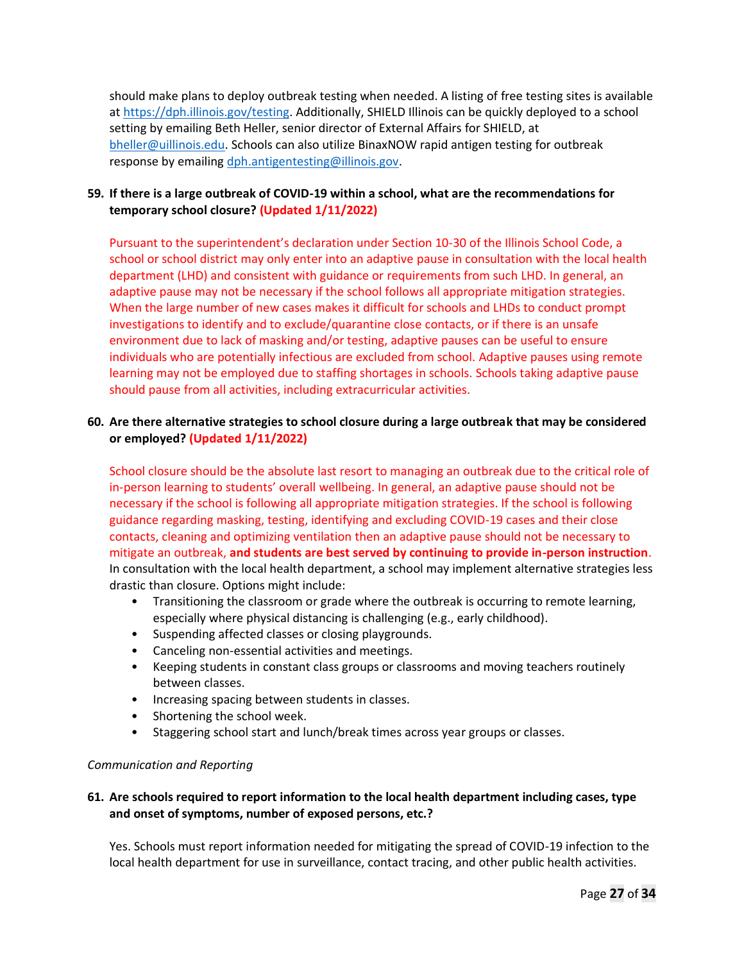should make plans to deploy outbreak testing when needed. A listing of free testing sites is available at https://dph.illinois.gov/testing. Additionally, SHIELD Illinois can be quickly deployed to a school setting by emailing Beth Heller, senior director of External Affairs for SHIELD, at bheller@uillinois.edu. Schools can also utilize BinaxNOW rapid antigen testing for outbreak response by emailing dph.antigentesting@illinois.gov.

# **59. If there is a large outbreak of COVID-19 within a school, what are the recommendations for temporary school closure? (Updated 1/11/2022)**

Pursuant to the superintendent's declaration under Section 10-30 of the Illinois School Code, a school or school district may only enter into an adaptive pause in consultation with the local health department (LHD) and consistent with guidance or requirements from such LHD. In general, an adaptive pause may not be necessary if the school follows all appropriate mitigation strategies. When the large number of new cases makes it difficult for schools and LHDs to conduct prompt investigations to identify and to exclude/quarantine close contacts, or if there is an unsafe environment due to lack of masking and/or testing, adaptive pauses can be useful to ensure individuals who are potentially infectious are excluded from school. Adaptive pauses using remote learning may not be employed due to staffing shortages in schools. Schools taking adaptive pause should pause from all activities, including extracurricular activities.

# **60. Are there alternative strategies to school closure during a large outbreak that may be considered or employed? (Updated 1/11/2022)**

School closure should be the absolute last resort to managing an outbreak due to the critical role of in-person learning to students' overall wellbeing. In general, an adaptive pause should not be necessary if the school is following all appropriate mitigation strategies. If the school is following guidance regarding masking, testing, identifying and excluding COVID-19 cases and their close contacts, cleaning and optimizing ventilation then an adaptive pause should not be necessary to mitigate an outbreak, **and students are best served by continuing to provide in-person instruction**. In consultation with the local health department, a school may implement alternative strategies less drastic than closure. Options might include:

- Transitioning the classroom or grade where the outbreak is occurring to remote learning, especially where physical distancing is challenging (e.g., early childhood).
- Suspending affected classes or closing playgrounds.
- Canceling non-essential activities and meetings.
- Keeping students in constant class groups or classrooms and moving teachers routinely between classes.
- Increasing spacing between students in classes.
- Shortening the school week.
- Staggering school start and lunch/break times across year groups or classes.

### *Communication and Reporting*

# **61. Are schools required to report information to the local health department including cases, type and onset of symptoms, number of exposed persons, etc.?**

Yes. Schools must report information needed for mitigating the spread of COVID-19 infection to the local health department for use in surveillance, contact tracing, and other public health activities.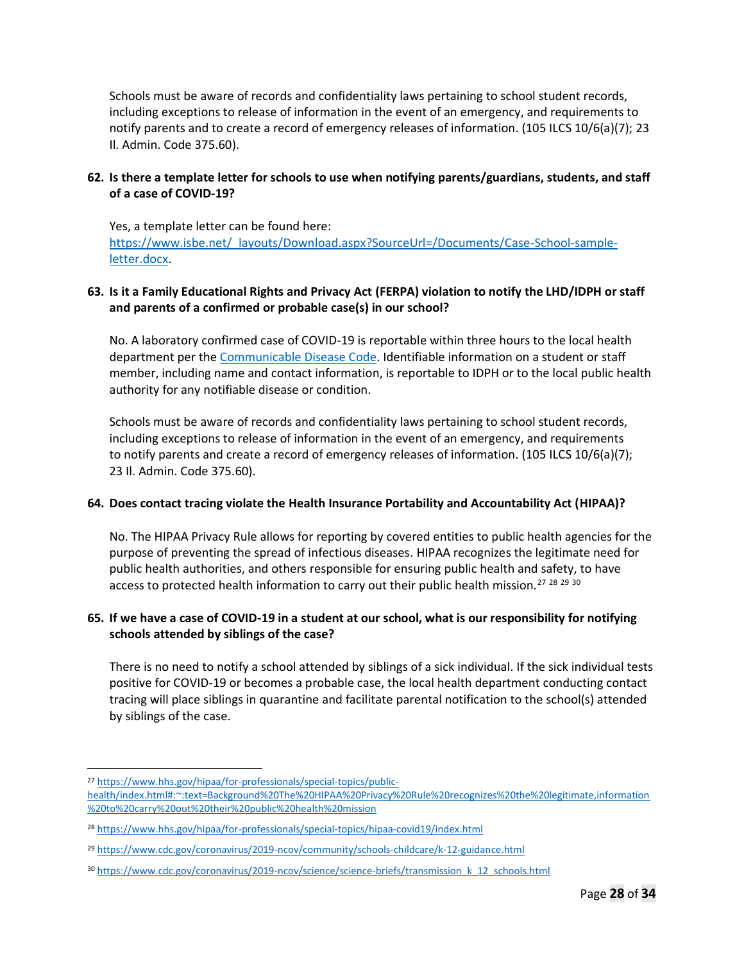Schools must be aware of records and confidentiality laws pertaining to school student records, including exceptions to release of information in the event of an emergency, and requirements to notify parents and to create a record of emergency releases of information. (105 ILCS 10/6(a)(7); 23 Il. Admin. Code 375.60).

# **62. Is there a template letter for schools to use when notifying parents/guardians, students, and staff of a case of COVID-19?**

Yes, a template letter can be found here: https://www.isbe.net/\_layouts/Download.aspx?SourceUrl=/Documents/Case-School-sampleletter.docx.

# **63. Is it a Family Educational Rights and Privacy Act (FERPA) violation to notify the LHD/IDPH or staff and parents of a confirmed or probable case(s) in our school?**

No. A laboratory confirmed case of COVID-19 is reportable within three hours to the local health department per the Communicable Disease Code. Identifiable information on a student or staff member, including name and contact information, is reportable to IDPH or to the local public health authority for any notifiable disease or condition.

Schools must be aware of records and confidentiality laws pertaining to school student records, including exceptions to release of information in the event of an emergency, and requirements to notify parents and create a record of emergency releases of information. (105 ILCS 10/6(a)(7); 23 Il. Admin. Code 375.60).

### **64. Does contact tracing violate the Health Insurance Portability and Accountability Act (HIPAA)?**

No. The HIPAA Privacy Rule allows for reporting by covered entities to public health agencies for the purpose of preventing the spread of infectious diseases. HIPAA recognizes the legitimate need for public health authorities, and others responsible for ensuring public health and safety, to have access to protected health information to carry out their public health mission.<sup>27 28 29 30</sup>

# **65. If we have a case of COVID-19 in a student at our school, what is our responsibility for notifying schools attended by siblings of the case?**

There is no need to notify a school attended by siblings of a sick individual. If the sick individual tests positive for COVID-19 or becomes a probable case, the local health department conducting contact tracing will place siblings in quarantine and facilitate parental notification to the school(s) attended by siblings of the case.

<sup>27</sup> https://www.hhs.gov/hipaa/for-professionals/special-topics/public-

health/index.html#:~:text=Background%20The%20HIPAA%20Privacy%20Rule%20recognizes%20the%20legitimate,information %20to%20carry%20out%20their%20public%20health%20mission

<sup>28</sup> https://www.hhs.gov/hipaa/for-professionals/special-topics/hipaa-covid19/index.html

<sup>29</sup> https://www.cdc.gov/coronavirus/2019-ncov/community/schools-childcare/k-12-guidance.html

<sup>30</sup> https://www.cdc.gov/coronavirus/2019-ncov/science/science-briefs/transmission k 12 schools.html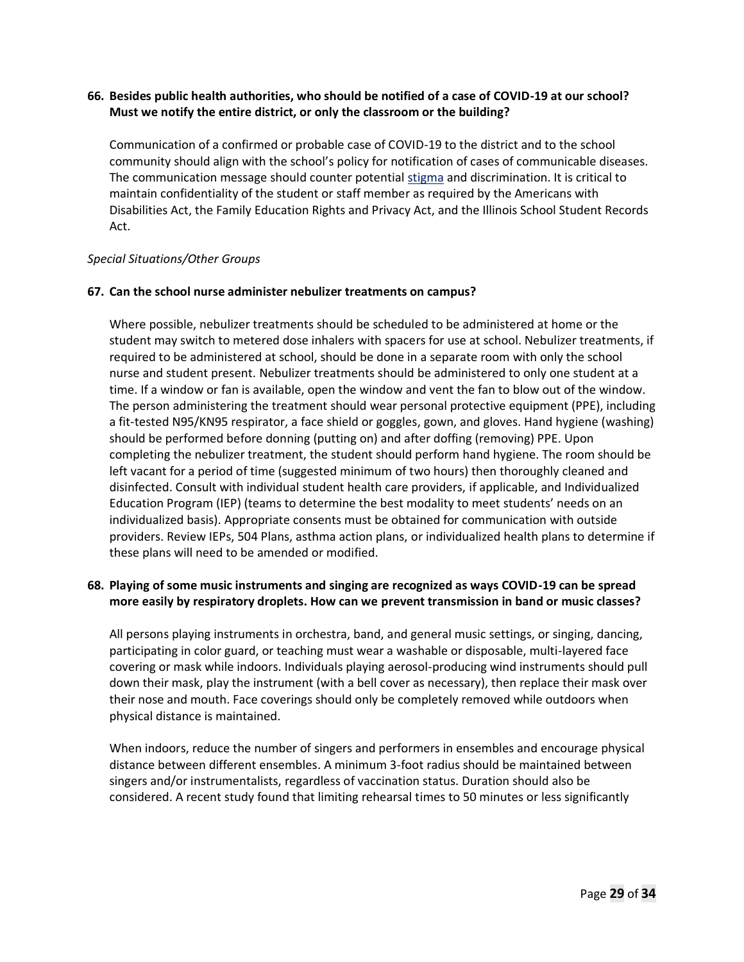### **66. Besides public health authorities, who should be notified of a case of COVID-19 at our school? Must we notify the entire district, or only the classroom or the building?**

Communication of a confirmed or probable case of COVID-19 to the district and to the school community should align with the school's policy for notification of cases of communicable diseases. The communication message should counter potential stigma and discrimination. It is critical to maintain confidentiality of the student or staff member as required by the Americans with Disabilities Act, the Family Education Rights and Privacy Act, and the Illinois School Student Records Act.

#### *Special Situations/Other Groups*

#### **67. Can the school nurse administer nebulizer treatments on campus?**

Where possible, nebulizer treatments should be scheduled to be administered at home or the student may switch to metered dose inhalers with spacers for use at school. Nebulizer treatments, if required to be administered at school, should be done in a separate room with only the school nurse and student present. Nebulizer treatments should be administered to only one student at a time. If a window or fan is available, open the window and vent the fan to blow out of the window. The person administering the treatment should wear personal protective equipment (PPE), including a fit-tested N95/KN95 respirator, a face shield or goggles, gown, and gloves. Hand hygiene (washing) should be performed before donning (putting on) and after doffing (removing) PPE. Upon completing the nebulizer treatment, the student should perform hand hygiene. The room should be left vacant for a period of time (suggested minimum of two hours) then thoroughly cleaned and disinfected. Consult with individual student health care providers, if applicable, and Individualized Education Program (IEP) (teams to determine the best modality to meet students' needs on an individualized basis). Appropriate consents must be obtained for communication with outside providers. Review IEPs, 504 Plans, asthma action plans, or individualized health plans to determine if these plans will need to be amended or modified.

# **68. Playing of some music instruments and singing are recognized as ways COVID-19 can be spread more easily by respiratory droplets. How can we prevent transmission in band or music classes?**

All persons playing instruments in orchestra, band, and general music settings, or singing, dancing, participating in color guard, or teaching must wear a washable or disposable, multi-layered face covering or mask while indoors. Individuals playing aerosol-producing wind instruments should pull down their mask, play the instrument (with a bell cover as necessary), then replace their mask over their nose and mouth. Face coverings should only be completely removed while outdoors when physical distance is maintained.

When indoors, reduce the number of singers and performers in ensembles and encourage physical distance between different ensembles. A minimum 3-foot radius should be maintained between singers and/or instrumentalists, regardless of vaccination status. Duration should also be considered. A recent study found that limiting rehearsal times to 50 minutes or less significantly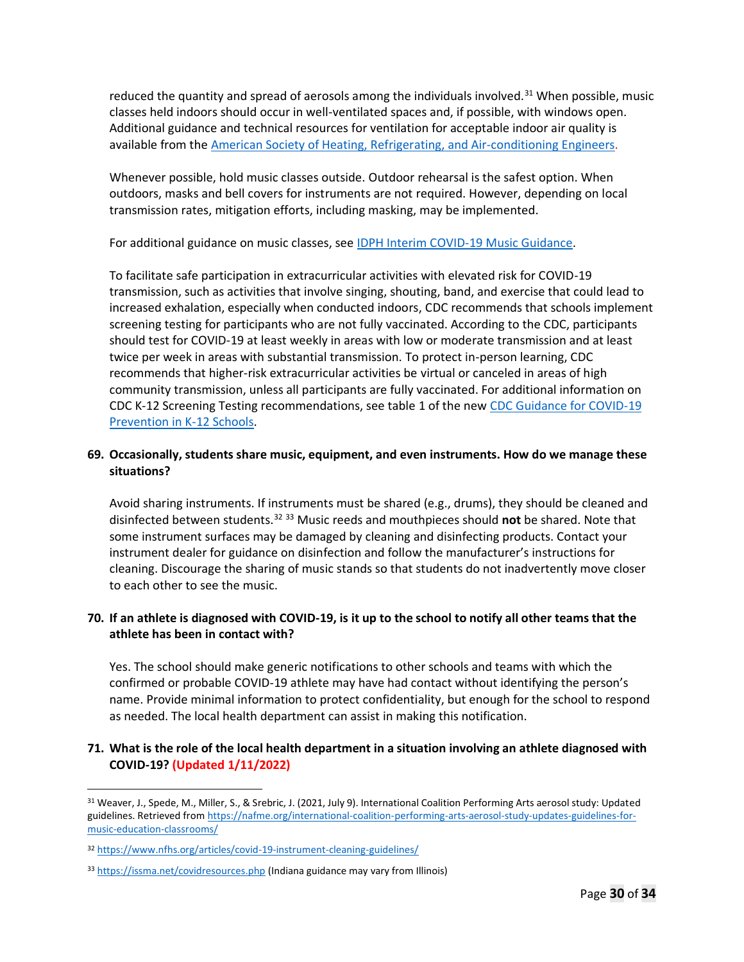reduced the quantity and spread of aerosols among the individuals involved.<sup>31</sup> When possible, music classes held indoors should occur in well-ventilated spaces and, if possible, with windows open. Additional guidance and technical resources for ventilation for acceptable indoor air quality is available from the American Society of Heating, Refrigerating, and Air-conditioning Engineers.

Whenever possible, hold music classes outside. Outdoor rehearsal is the safest option. When outdoors, masks and bell covers for instruments are not required. However, depending on local transmission rates, mitigation efforts, including masking, may be implemented.

For additional guidance on music classes, see IDPH Interim COVID-19 Music Guidance.

To facilitate safe participation in extracurricular activities with elevated risk for COVID-19 transmission, such as activities that involve singing, shouting, band, and exercise that could lead to increased exhalation, especially when conducted indoors, CDC recommends that schools implement screening testing for participants who are not fully vaccinated. According to the CDC, participants should test for COVID-19 at least weekly in areas with low or moderate transmission and at least twice per week in areas with substantial transmission. To protect in-person learning, CDC recommends that higher-risk extracurricular activities be virtual or canceled in areas of high community transmission, unless all participants are fully vaccinated. For additional information on CDC K-12 Screening Testing recommendations, see table 1 of the new CDC Guidance for COVID-19 Prevention in K-12 Schools.

# **69. Occasionally, students share music, equipment, and even instruments. How do we manage these situations?**

Avoid sharing instruments. If instruments must be shared (e.g., drums), they should be cleaned and disinfected between students.<sup>32</sup> <sup>33</sup> Music reeds and mouthpieces should **not** be shared. Note that some instrument surfaces may be damaged by cleaning and disinfecting products. Contact your instrument dealer for guidance on disinfection and follow the manufacturer's instructions for cleaning. Discourage the sharing of music stands so that students do not inadvertently move closer to each other to see the music.

# **70. If an athlete is diagnosed with COVID-19, is it up to the school to notify all other teams that the athlete has been in contact with?**

Yes. The school should make generic notifications to other schools and teams with which the confirmed or probable COVID-19 athlete may have had contact without identifying the person's name. Provide minimal information to protect confidentiality, but enough for the school to respond as needed. The local health department can assist in making this notification.

# **71. What is the role of the local health department in a situation involving an athlete diagnosed with COVID-19? (Updated 1/11/2022)**

<sup>31</sup> Weaver, J., Spede, M., Miller, S., & Srebric, J. (2021, July 9). International Coalition Performing Arts aerosol study: Updated guidelines. Retrieved from https://nafme.org/international-coalition-performing-arts-aerosol-study-updates-guidelines-formusic-education-classrooms/

<sup>32</sup> https://www.nfhs.org/articles/covid-19-instrument-cleaning-guidelines/

<sup>33</sup> https://issma.net/covidresources.php (Indiana guidance may vary from Illinois)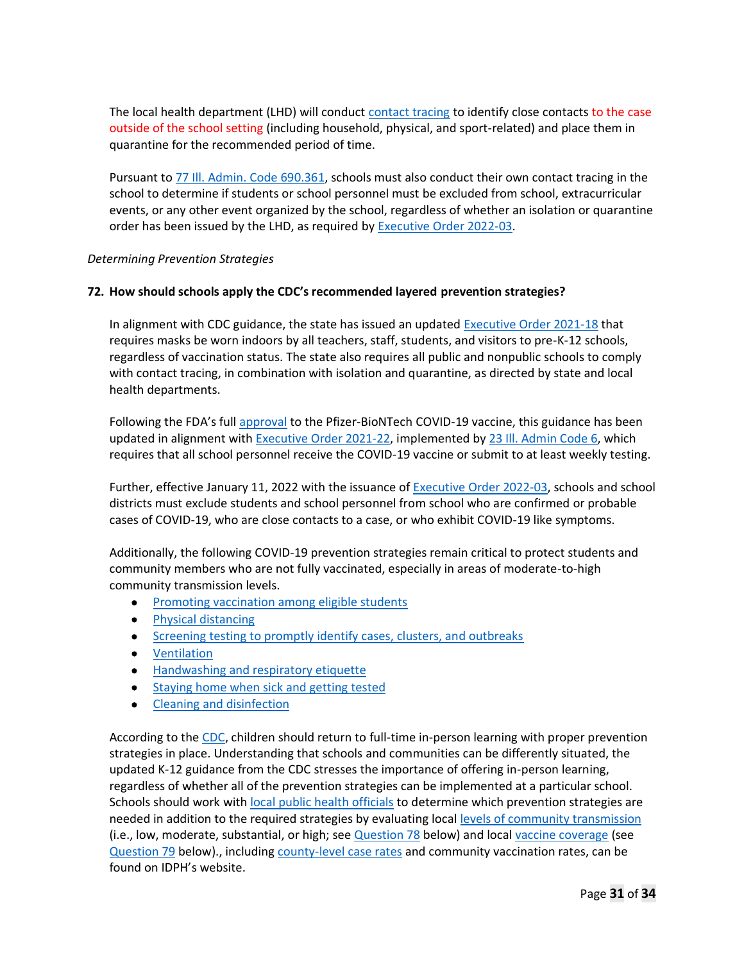The local health department (LHD) will conduct contact tracing to identify close contacts to the case outside of the school setting (including household, physical, and sport-related) and place them in quarantine for the recommended period of time.

Pursuant to 77 Ill. Admin. Code 690.361, schools must also conduct their own contact tracing in the school to determine if students or school personnel must be excluded from school, extracurricular events, or any other event organized by the school, regardless of whether an isolation or quarantine order has been issued by the LHD, as required by **Executive Order 2022-03**.

#### *Determining Prevention Strategies*

#### **72. How should schools apply the CDC's recommended layered prevention strategies?**

In alignment with CDC guidance, the state has issued an updated Executive Order 2021-18 that requires masks be worn indoors by all teachers, staff, students, and visitors to pre-K-12 schools, regardless of vaccination status. The state also requires all public and nonpublic schools to comply with contact tracing, in combination with isolation and quarantine, as directed by state and local health departments.

Following the FDA's full approval to the Pfizer-BioNTech COVID-19 vaccine, this guidance has been updated in alignment with Executive Order 2021-22, implemented by 23 Ill. Admin Code 6, which requires that all school personnel receive the COVID-19 vaccine or submit to at least weekly testing.

Further, effective January 11, 2022 with the issuance of Executive Order 2022-03, schools and school districts must exclude students and school personnel from school who are confirmed or probable cases of COVID-19, who are close contacts to a case, or who exhibit COVID-19 like symptoms.

Additionally, the following COVID-19 prevention strategies remain critical to protect students and community members who are not fully vaccinated, especially in areas of moderate-to-high community transmission levels.

- Promoting vaccination among eligible students
- Physical distancing
- Screening testing to promptly identify cases, clusters, and outbreaks
- Ventilation
- Handwashing and respiratory etiquette
- Staying home when sick and getting tested
- Cleaning and disinfection

According to the CDC, children should return to full-time in-person learning with proper prevention strategies in place. Understanding that schools and communities can be differently situated, the updated K-12 guidance from the CDC stresses the importance of offering in-person learning, regardless of whether all of the prevention strategies can be implemented at a particular school. Schools should work with local public health officials to determine which prevention strategies are needed in addition to the required strategies by evaluating local levels of community transmission (i.e., low, moderate, substantial, or high; see Question 78 below) and local vaccine coverage (see Question 79 below)., including county-level case rates and community vaccination rates, can be found on IDPH's website.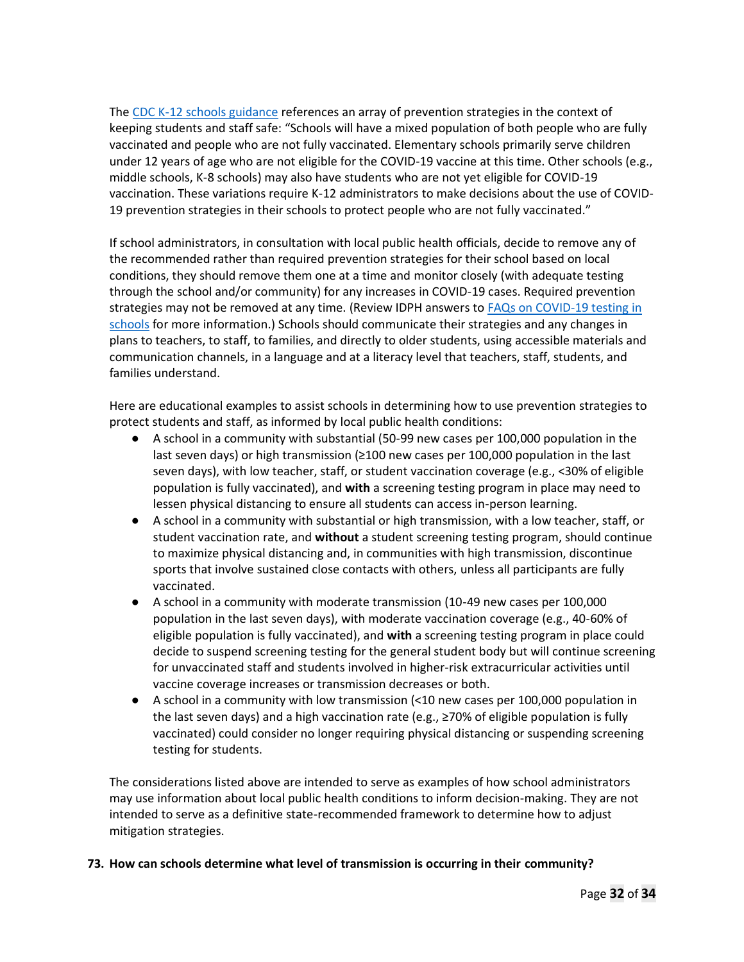The CDC K-12 schools guidance references an array of prevention strategies in the context of keeping students and staff safe: "Schools will have a mixed population of both people who are fully vaccinated and people who are not fully vaccinated. Elementary schools primarily serve children under 12 years of age who are not eligible for the COVID-19 vaccine at this time. Other schools (e.g., middle schools, K-8 schools) may also have students who are not yet eligible for COVID-19 vaccination. These variations require K-12 administrators to make decisions about the use of COVID-19 prevention strategies in their schools to protect people who are not fully vaccinated."

If school administrators, in consultation with local public health officials, decide to remove any of the recommended rather than required prevention strategies for their school based on local conditions, they should remove them one at a time and monitor closely (with adequate testing through the school and/or community) for any increases in COVID-19 cases. Required prevention strategies may not be removed at any time. (Review IDPH answers to FAQs on COVID-19 testing in schools for more information.) Schools should communicate their strategies and any changes in plans to teachers, to staff, to families, and directly to older students, using accessible materials and communication channels, in a language and at a literacy level that teachers, staff, students, and families understand.

Here are educational examples to assist schools in determining how to use prevention strategies to protect students and staff, as informed by local public health conditions:

- A school in a community with substantial (50-99 new cases per 100,000 population in the last seven days) or high transmission (≥100 new cases per 100,000 population in the last seven days), with low teacher, staff, or student vaccination coverage (e.g., <30% of eligible population is fully vaccinated), and **with** a screening testing program in place may need to lessen physical distancing to ensure all students can access in-person learning.
- A school in a community with substantial or high transmission, with a low teacher, staff, or student vaccination rate, and **without** a student screening testing program, should continue to maximize physical distancing and, in communities with high transmission, discontinue sports that involve sustained close contacts with others, unless all participants are fully vaccinated.
- A school in a community with moderate transmission (10-49 new cases per 100,000 population in the last seven days), with moderate vaccination coverage (e.g., 40-60% of eligible population is fully vaccinated), and **with** a screening testing program in place could decide to suspend screening testing for the general student body but will continue screening for unvaccinated staff and students involved in higher-risk extracurricular activities until vaccine coverage increases or transmission decreases or both.
- A school in a community with low transmission (<10 new cases per 100,000 population in the last seven days) and a high vaccination rate (e.g.,  $\geq$ 70% of eligible population is fully vaccinated) could consider no longer requiring physical distancing or suspending screening testing for students.

The considerations listed above are intended to serve as examples of how school administrators may use information about local public health conditions to inform decision-making. They are not intended to serve as a definitive state-recommended framework to determine how to adjust mitigation strategies.

### **73. How can schools determine what level of transmission is occurring in their community?**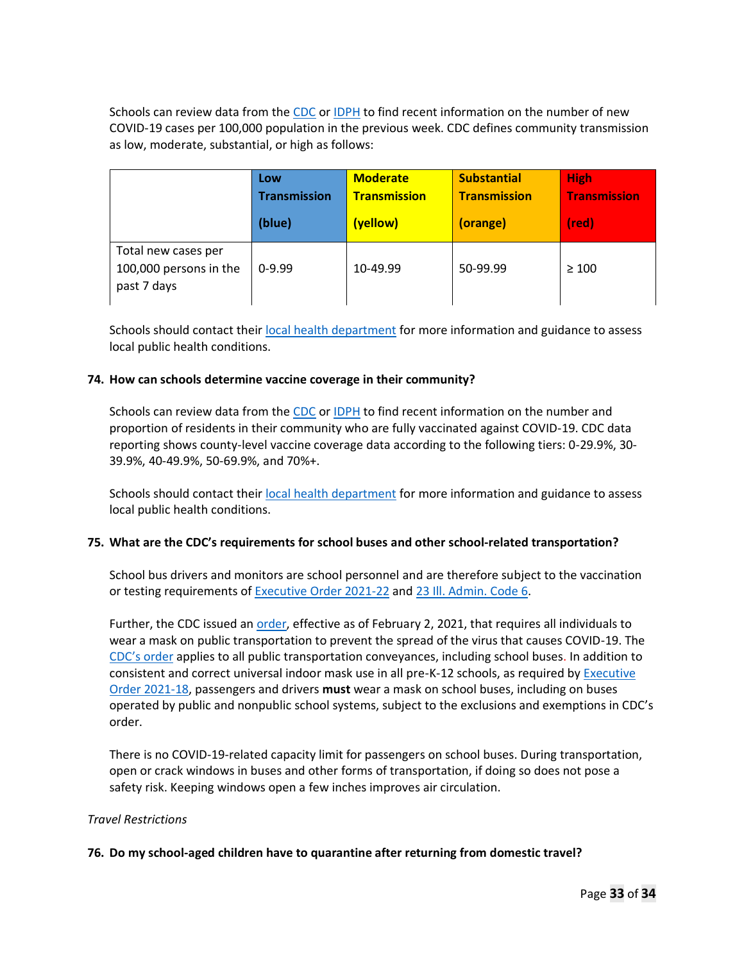Schools can review data from the CDC or IDPH to find recent information on the number of new COVID-19 cases per 100,000 population in the previous week. CDC defines community transmission as low, moderate, substantial, or high as follows:

|                                                              | Low<br><b>Transmission</b> | <b>Moderate</b><br><b>Transmission</b> | <b>Substantial</b><br><b>Transmission</b> | <b>High</b><br><b>Transmission</b> |
|--------------------------------------------------------------|----------------------------|----------------------------------------|-------------------------------------------|------------------------------------|
|                                                              | (blue)                     | (yellow)                               | (orange)                                  | $_{\text{(red)}}$                  |
| Total new cases per<br>100,000 persons in the<br>past 7 days | $0-9.99$                   | 10-49.99                               | 50-99.99                                  | $\geq 100$                         |

Schools should contact their local health department for more information and guidance to assess local public health conditions.

#### **74. How can schools determine vaccine coverage in their community?**

Schools can review data from the CDC or **IDPH** to find recent information on the number and proportion of residents in their community who are fully vaccinated against COVID-19. CDC data reporting shows county-level vaccine coverage data according to the following tiers: 0-29.9%, 30- 39.9%, 40-49.9%, 50-69.9%, and 70%+.

Schools should contact their local health department for more information and guidance to assess local public health conditions.

### **75. What are the CDC's requirements for school buses and other school-related transportation?**

School bus drivers and monitors are school personnel and are therefore subject to the vaccination or testing requirements of Executive Order 2021-22 and 23 Ill. Admin. Code 6.

Further, the CDC issued an order, effective as of February 2, 2021, that requires all individuals to wear a mask on public transportation to prevent the spread of the virus that causes COVID-19. The CDC's order applies to all public transportation conveyances, including school buses. In addition to consistent and correct universal indoor mask use in all pre-K-12 schools, as required by Executive Order 2021-18, passengers and drivers **must** wear a mask on school buses, including on buses operated by public and nonpublic school systems, subject to the exclusions and exemptions in CDC's order.

There is no COVID-19-related capacity limit for passengers on school buses. During transportation, open or crack windows in buses and other forms of transportation, if doing so does not pose a safety risk. Keeping windows open a few inches improves air circulation.

#### *Travel Restrictions*

#### **76. Do my school-aged children have to quarantine after returning from domestic travel?**